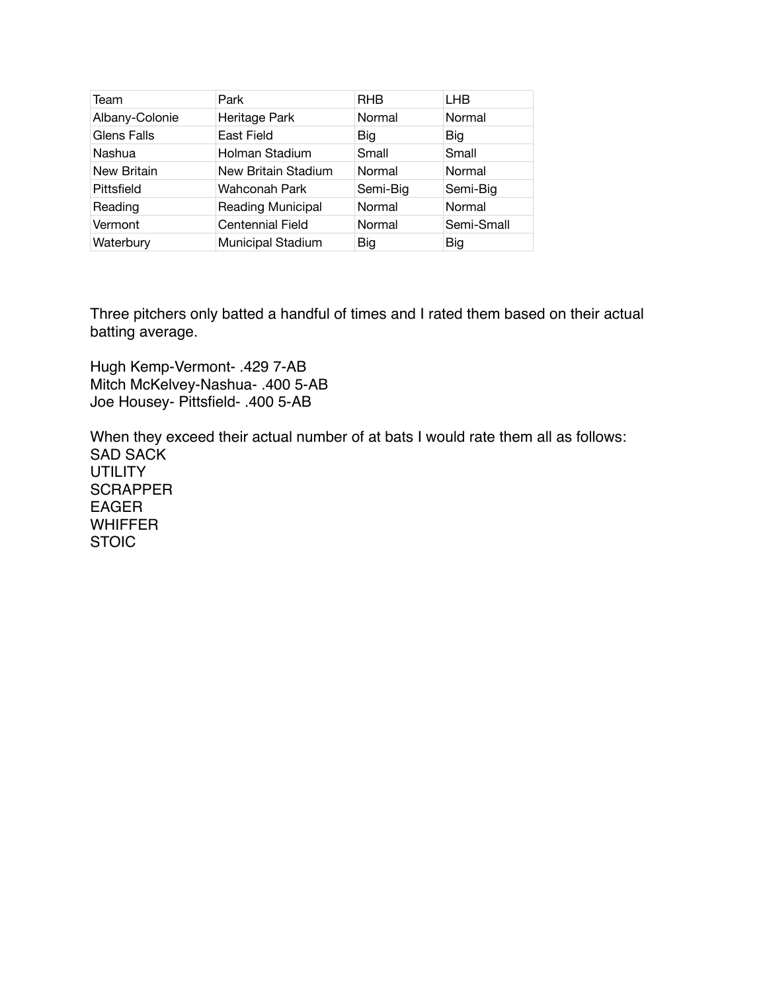| Team           | Park                     | <b>RHB</b> | LHB        |
|----------------|--------------------------|------------|------------|
| Albany-Colonie | Heritage Park            | Normal     | Normal     |
| Glens Falls    | East Field               | Big        | Big        |
| Nashua         | Holman Stadium           | Small      | Small      |
| New Britain    | New Britain Stadium      | Normal     | Normal     |
| Pittsfield     | Wahconah Park            | Semi-Big   | Semi-Big   |
| Reading        | <b>Reading Municipal</b> | Normal     | Normal     |
| Vermont        | <b>Centennial Field</b>  | Normal     | Semi-Small |
| Waterbury      | <b>Municipal Stadium</b> | Big        | Big        |

Three pitchers only batted a handful of times and I rated them based on their actual batting average.

Hugh Kemp-Vermont- .429 7-AB Mitch McKelvey-Nashua- .400 5-AB Joe Housey- Pittsfield- .400 5-AB

When they exceed their actual number of at bats I would rate them all as follows: SAD SACK **UTILITY SCRAPPER** EAGER **WHIFFER STOIC**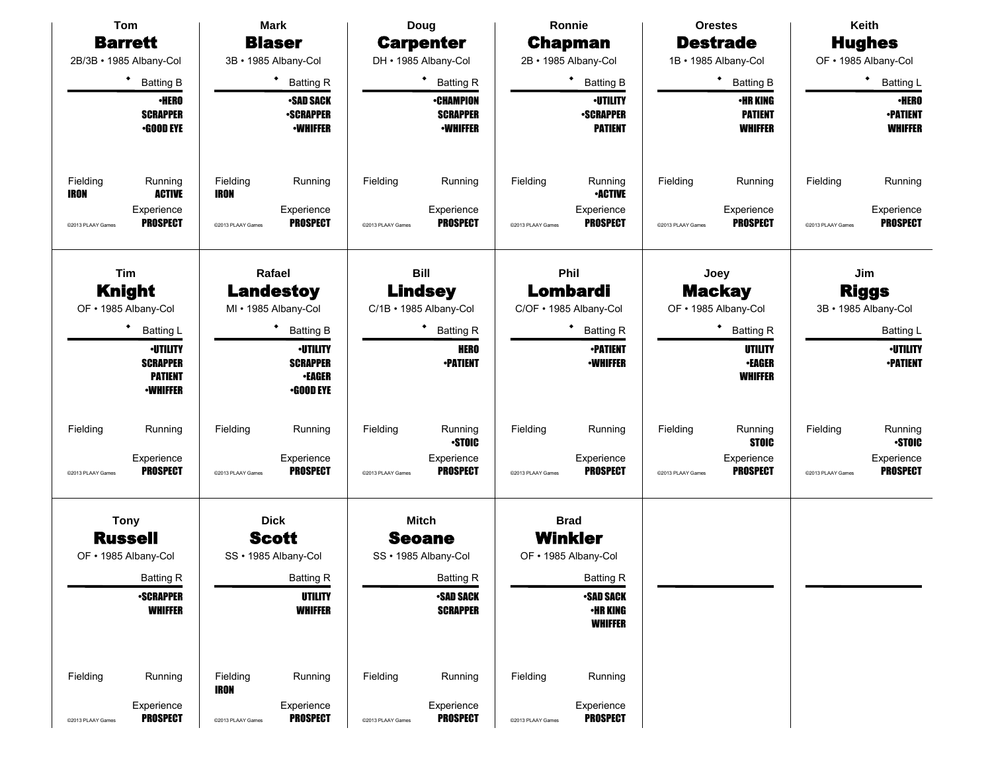| Tom                                          |                                                                         |                                              | <b>Mark</b>                                                             |                               | Doug                                                    |                               | Ronnie                                                                    |                               | <b>Orestes</b>                                      |                               | Keith                                             |
|----------------------------------------------|-------------------------------------------------------------------------|----------------------------------------------|-------------------------------------------------------------------------|-------------------------------|---------------------------------------------------------|-------------------------------|---------------------------------------------------------------------------|-------------------------------|-----------------------------------------------------|-------------------------------|---------------------------------------------------|
| <b>Barrett</b>                               |                                                                         |                                              | <b>Blaser</b>                                                           |                               | <b>Carpenter</b>                                        |                               | <b>Chapman</b>                                                            |                               | <b>Destrade</b>                                     |                               | <b>Hughes</b>                                     |
| 2B/3B · 1985 Albany-Col                      |                                                                         |                                              | 3B · 1985 Albany-Col                                                    |                               | DH · 1985 Albany-Col                                    |                               | 2B · 1985 Albany-Col                                                      |                               | 1B · 1985 Albany-Col                                |                               | OF . 1985 Albany-Col                              |
| ٠                                            | <b>Batting B</b>                                                        |                                              | ٠<br><b>Batting R</b>                                                   |                               | ٠<br><b>Batting R</b>                                   |                               | ٠<br><b>Batting B</b>                                                     |                               | $\bullet$<br><b>Batting B</b>                       |                               | ٠<br><b>Batting L</b>                             |
|                                              | <b>•HERO</b><br><b>SCRAPPER</b><br><b>.GOOD EYE</b>                     |                                              | <b>-SAD SACK</b><br><b>•SCRAPPER</b><br><b>-WHIFFER</b>                 |                               | <b>•CHAMPION</b><br><b>SCRAPPER</b><br><b>•WHIFFER</b>  |                               | <b>-UTILITY</b><br><b>SCRAPPER</b><br><b>PATIENT</b>                      |                               | <b>•HR KING</b><br><b>PATIENT</b><br><b>WHIFFER</b> |                               | <b>•HERO</b><br><b>•PATIENT</b><br><b>WHIFFER</b> |
| Fielding<br><b>IRON</b><br>@2013 PLAAY Games | Running<br><b>ACTIVE</b><br>Experience<br><b>PROSPECT</b>               | Fielding<br><b>IRON</b><br>@2013 PLAAY Games | Running<br>Experience<br><b>PROSPECT</b>                                | Fielding<br>@2013 PLAAY Games | Running<br>Experience<br><b>PROSPECT</b>                | Fielding<br>@2013 PLAAY Games | Running<br><b>-ACTIVE</b><br>Experience<br><b>PROSPECT</b>                | Fielding<br>@2013 PLAAY Games | Running<br>Experience<br><b>PROSPECT</b>            | Fielding<br>@2013 PLAAY Games | Running<br>Experience<br><b>PROSPECT</b>          |
| Tim<br><b>Knight</b><br>OF • 1985 Albany-Col |                                                                         |                                              | Rafael<br><b>Landestoy</b><br>MI • 1985 Albany-Col                      |                               | <b>Bill</b><br><b>Lindsey</b><br>C/1B · 1985 Albany-Col |                               | Phil<br><b>Lombardi</b><br>C/OF . 1985 Albany-Col                         |                               | Joey<br><b>Mackay</b><br>OF • 1985 Albany-Col       |                               | Jim<br><b>Riggs</b><br>3B · 1985 Albany-Col       |
| ٠                                            | Batting L                                                               |                                              | <b>Batting B</b>                                                        |                               | ٠<br><b>Batting R</b>                                   |                               | <b>Batting R</b>                                                          |                               | ٠<br><b>Batting R</b>                               |                               | <b>Batting L</b>                                  |
|                                              | <b>-UTILITY</b><br><b>SCRAPPER</b><br><b>PATIENT</b><br><b>•WHIFFER</b> |                                              | <b>-UTILITY</b><br><b>SCRAPPER</b><br><b>·EAGER</b><br><b>•GOOD EYE</b> |                               | <b>HERO</b><br><b>•PATIENT</b>                          |                               | <b>-PATIENT</b><br><b>•WHIFFER</b>                                        |                               | <b>UTILITY</b><br><b>-EAGER</b><br><b>WHIFFER</b>   |                               | <b>-UTILITY</b><br><b>•PATIENT</b>                |
| Fielding                                     | Running<br>Experience                                                   | Fielding                                     | Running<br>Experience                                                   | Fielding                      | Running<br><b>STOIC</b><br>Experience                   | Fielding                      | Running<br>Experience                                                     | Fielding                      | Running<br><b>STOIC</b><br>Experience               | Fielding                      | Running<br><b>STOIC</b><br>Experience             |
| @2013 PLAAY Games                            | <b>PROSPECT</b>                                                         | @2013 PLAAY Games                            | <b>PROSPECT</b>                                                         | @2013 PLAAY Games             | <b>PROSPECT</b>                                         | @2013 PLAAY Games             | PROSPECT                                                                  | @2013 PLAAY Games             | <b>PROSPECT</b>                                     | @2013 PLAAY Games             | <b>PROSPECT</b>                                   |
| <b>Tony</b><br><b>Russell</b>                |                                                                         |                                              | <b>Dick</b><br><b>Scott</b>                                             |                               | <b>Mitch</b><br><b>Seoane</b>                           |                               | <b>Brad</b><br><b>Winkler</b>                                             |                               |                                                     |                               |                                                   |
| OF • 1985 Albany-Col                         |                                                                         |                                              | SS · 1985 Albany-Col                                                    |                               | SS · 1985 Albany-Col                                    |                               | OF • 1985 Albany-Col                                                      |                               |                                                     |                               |                                                   |
|                                              | <b>Batting R</b><br><b>-SCRAPPER</b><br><b>WHIFFER</b>                  |                                              | <b>Batting R</b><br><b>UTILITY</b><br><b>WHIFFER</b>                    |                               | <b>Batting R</b><br><b>-SAD SACK</b><br><b>SCRAPPER</b> |                               | <b>Batting R</b><br><b>-SAD SACK</b><br><b>•HR KING</b><br><b>WHIFFER</b> |                               |                                                     |                               |                                                   |
| Fielding                                     | Running                                                                 | Fielding<br><b>IRON</b>                      | Running                                                                 | Fielding                      | Running                                                 | Fielding                      | Running                                                                   |                               |                                                     |                               |                                                   |
| @2013 PLAAY Games                            | Experience<br><b>PROSPECT</b>                                           | @2013 PLAAY Games                            | Experience<br><b>PROSPECT</b>                                           | @2013 PLAAY Games             | Experience<br><b>PROSPECT</b>                           | @2013 PLAAY Games             | Experience<br><b>PROSPECT</b>                                             |                               |                                                     |                               |                                                   |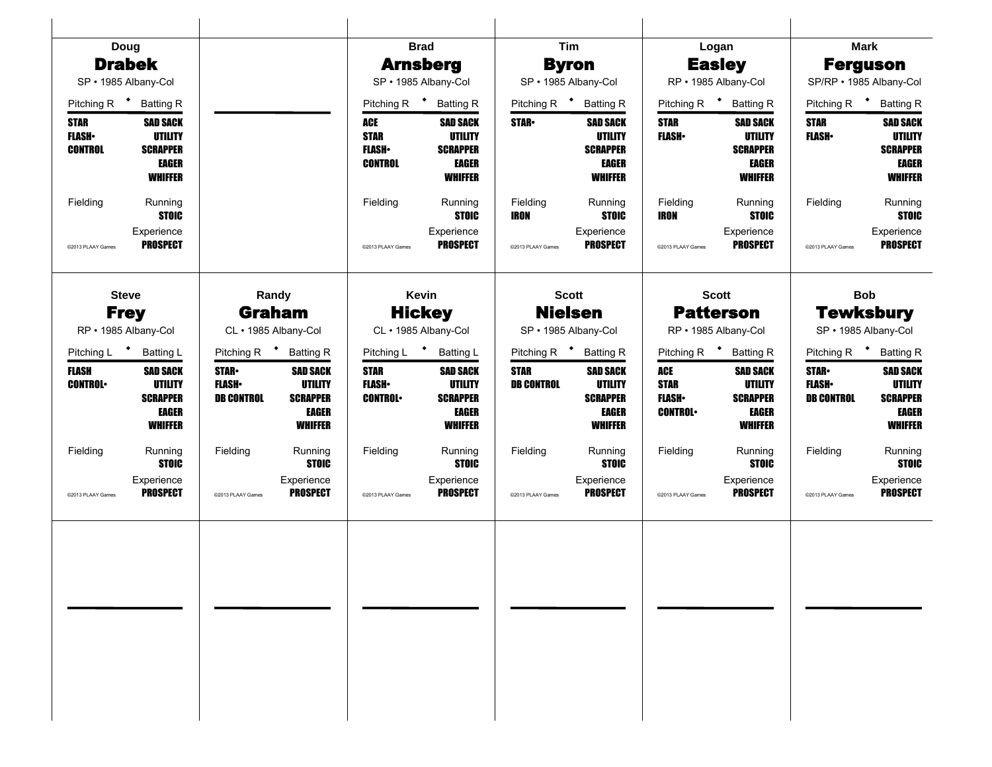|                                                | <b>Doug</b>                                                                            |                                                  |                                                                                 |                                                      | <b>Brad</b>                                                                            |                                  | Tim                                                                             |                                                      | Logan                                                                    |                                                     | <b>Mark</b>                                                                            |
|------------------------------------------------|----------------------------------------------------------------------------------------|--------------------------------------------------|---------------------------------------------------------------------------------|------------------------------------------------------|----------------------------------------------------------------------------------------|----------------------------------|---------------------------------------------------------------------------------|------------------------------------------------------|--------------------------------------------------------------------------|-----------------------------------------------------|----------------------------------------------------------------------------------------|
|                                                | <b>Drabek</b>                                                                          |                                                  |                                                                                 |                                                      | <b>Arnsberg</b>                                                                        |                                  | <b>Byron</b>                                                                    |                                                      | <b>Easley</b>                                                            |                                                     | <b>Ferguson</b>                                                                        |
|                                                | SP · 1985 Albany-Col                                                                   |                                                  |                                                                                 |                                                      | SP · 1985 Albany-Col                                                                   |                                  | SP · 1985 Albany-Col                                                            |                                                      | RP · 1985 Albany-Col                                                     |                                                     | SP/RP · 1985 Albany-Col                                                                |
|                                                | Pitching R <sup>+</sup> Batting R                                                      |                                                  |                                                                                 | Pitching R <sup>+</sup>                              | <b>Batting R</b>                                                                       |                                  | Pitching R <sup>+</sup> Batting R                                               | Pitching R <sup>+</sup>                              | <b>Batting R</b>                                                         |                                                     | Pitching R <sup>+</sup> Batting R                                                      |
| <b>STAR</b><br><b>FLASH•</b><br><b>CONTROL</b> | <b>SAD SACK</b><br><b>UTILITY</b><br><b>SCRAPPER</b><br><b>EAGER</b><br><b>WHIFFER</b> |                                                  |                                                                                 | ACE<br><b>STAR</b><br><b>FLASH</b><br><b>CONTROL</b> | <b>SAD SACK</b><br><b>UTILITY</b><br><b>SCRAPPER</b><br><b>EAGER</b><br><b>WHIFFER</b> | <b>STAR</b>                      | <b>SAD SACK</b><br><b>UTILITY</b><br><b>SCRAPPER</b><br>EAGER<br><b>WHIFFER</b> | <b>STAR</b><br><b>FLASH</b>                          | <b>SAD SACK</b><br><b>UTILITY</b><br><b>SCRAPPER</b><br>EAGER<br>WHIFFER | <b>STAR</b><br><b>FLASH</b>                         | <b>SAD SACK</b><br><b>UTILITY</b><br><b>SCRAPPER</b><br><b>EAGER</b><br><b>WHIFFER</b> |
| Fielding                                       | Running<br><b>STOIC</b>                                                                |                                                  |                                                                                 | Fielding                                             | Running<br><b>STOIC</b>                                                                | Fielding<br><b>IRON</b>          | Running<br><b>STOIC</b>                                                         | Fielding<br>IRON                                     | Running<br><b>STOIC</b>                                                  | Fielding                                            | Running<br><b>STOIC</b>                                                                |
| @2013 PLAAY Games                              | Experience<br><b>PROSPECT</b>                                                          |                                                  |                                                                                 | @2013 PLAAY Games                                    | Experience<br><b>PROSPECT</b>                                                          | @2013 PLAAY Games                | Experience<br><b>PROSPECT</b>                                                   | @2013 PLAAY Games                                    | Experience<br><b>PROSPECT</b>                                            | @2013 PLAAY Games                                   | Experience<br><b>PROSPECT</b>                                                          |
|                                                | <b>Steve</b>                                                                           |                                                  | Randy                                                                           |                                                      | Kevin                                                                                  |                                  | <b>Scott</b>                                                                    |                                                      | <b>Scott</b>                                                             |                                                     | <b>Bob</b>                                                                             |
|                                                | <b>Frey</b>                                                                            |                                                  | <b>Graham</b>                                                                   |                                                      | <b>Hickey</b>                                                                          |                                  | <b>Nielsen</b>                                                                  |                                                      | <b>Patterson</b>                                                         |                                                     | <b>Tewksbury</b>                                                                       |
|                                                | RP · 1985 Albany-Col                                                                   |                                                  | CL · 1985 Albany-Col                                                            |                                                      | CL · 1985 Albany-Col                                                                   |                                  | SP · 1985 Albany-Col                                                            | RP · 1985 Albany-Col                                 |                                                                          |                                                     | SP · 1985 Albany-Col                                                                   |
|                                                | Pitching L * Batting L                                                                 |                                                  | Pitching R <sup>+</sup> Batting R                                               |                                                      | Pitching L * Batting L                                                                 |                                  | Pitching R <sup>+</sup> Batting R                                               |                                                      | Pitching R <sup>+</sup> Batting R                                        |                                                     | Pitching R <sup>+</sup> Batting R                                                      |
| FLASH<br><b>CONTROL</b>                        | <b>SAD SACK</b><br>UTILITY<br><b>SCRAPPER</b><br>EAGER<br><b>WHIFFER</b>               | <b>STAR</b><br><b>FLASH</b><br><b>DB CONTROL</b> | <b>SAD SACK</b><br>UTILITY<br><b>SCRAPPER</b><br><b>EAGER</b><br><b>WHIFFER</b> | <b>STAR</b><br><b>FLASH</b> •<br><b>CONTROL</b>      | <b>SAD SACK</b><br>UTILITY<br><b>SCRAPPER</b><br><b>EAGER</b><br><b>WHIFFER</b>        | <b>STAR</b><br><b>DB CONTROL</b> | <b>SAD SACK</b><br>UTILITY<br><b>SCRAPPER</b><br><b>EAGER</b><br><b>WHIFFER</b> | ACE<br><b>STAR</b><br><b>FLASH</b><br><b>CONTROL</b> | <b>SAD SACK</b><br>UTILITY<br><b>SCRAPPER</b><br>EAGER<br><b>WHIFFER</b> | <b>STAR-</b><br><b>FLASH</b> •<br><b>DB CONTROL</b> | <b>SAD SACK</b><br>UTILITY<br><b>SCRAPPER</b><br>EAGER<br><b>WHIFFER</b>               |
| Fielding                                       | Running<br><b>STOIC</b>                                                                | Fielding                                         | Running<br><b>STOIC</b>                                                         | Fielding                                             | Running<br><b>STOIC</b>                                                                | Fielding                         | Running<br><b>STOIC</b>                                                         | Fielding                                             | Running<br><b>STOIC</b>                                                  | Fielding                                            | Running<br><b>STOIC</b>                                                                |
| @2013 PLAAY Games                              | Experience<br><b>PROSPECT</b>                                                          | @2013 PLAAY Games                                | Experience<br><b>PROSPECT</b>                                                   | @2013 PLAAY Games                                    | Experience<br><b>PROSPECT</b>                                                          | @2013 PLAAY Games                | Experience<br><b>PROSPECT</b>                                                   | @2013 PLAAY Games                                    | Experience<br><b>PROSPECT</b>                                            | @2013 PLAAY Games                                   | Experience<br><b>PROSPECT</b>                                                          |
|                                                |                                                                                        |                                                  |                                                                                 |                                                      |                                                                                        |                                  |                                                                                 |                                                      |                                                                          |                                                     |                                                                                        |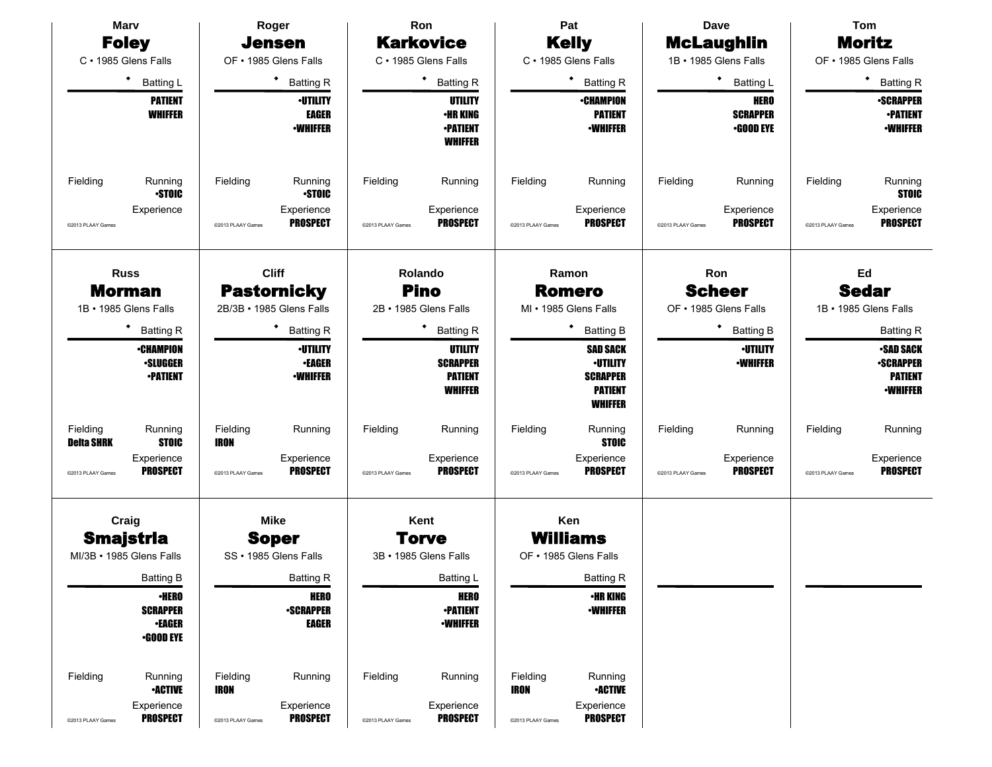|                               | Marv                                                             |                                                | Roger                                              |                       | Ron                                                             |                         | Pat                                                   |                   | Dave                                           |                   | Tom                                                    |
|-------------------------------|------------------------------------------------------------------|------------------------------------------------|----------------------------------------------------|-----------------------|-----------------------------------------------------------------|-------------------------|-------------------------------------------------------|-------------------|------------------------------------------------|-------------------|--------------------------------------------------------|
|                               | <b>Foley</b>                                                     |                                                | <b>Jensen</b>                                      |                       | <b>Karkovice</b>                                                |                         | <b>Kelly</b>                                          |                   | <b>McLaughlin</b>                              |                   | <b>Moritz</b>                                          |
|                               | C · 1985 Glens Falls                                             |                                                | OF • 1985 Glens Falls                              |                       | C · 1985 Glens Falls                                            |                         | C · 1985 Glens Falls                                  |                   | 1B · 1985 Glens Falls                          |                   | OF . 1985 Glens Falls                                  |
|                               | ٠<br><b>Batting L</b>                                            |                                                | $\bullet$<br><b>Batting R</b>                      |                       | ٠<br><b>Batting R</b>                                           |                         | ٠<br><b>Batting R</b>                                 |                   | * Batting L                                    |                   | ٠<br><b>Batting R</b>                                  |
|                               | <b>PATIENT</b><br><b>WHIFFER</b>                                 |                                                | <b>-UTILITY</b><br><b>EAGER</b><br><b>-WHIFFER</b> |                       | UTILITY<br><b>·HR KING</b><br><b>-PATIENT</b><br><b>WHIFFER</b> |                         | <b>•CHAMPION</b><br><b>PATIENT</b><br><b>-WHIFFER</b> |                   | HERO<br><b>SCRAPPER</b><br><b>•GOOD EYE</b>    |                   | <b>•SCRAPPER</b><br><b>-PATIENT</b><br><b>-WHIFFER</b> |
| Fielding                      | Running<br><b>STOIC</b>                                          | Fielding                                       | Running<br><b>STOIC</b>                            | Fielding              | Running                                                         | Fielding                | Running                                               | Fielding          | Running                                        | Fielding          | Running<br><b>STOIC</b>                                |
| @2013 PLAAY Games             | Experience                                                       | @2013 PLAAY Games                              | Experience<br><b>PROSPECT</b>                      | @2013 PLAAY Games     | Experience<br><b>PROSPECT</b>                                   | @2013 PLAAY Games       | Experience<br><b>PROSPECT</b>                         | @2013 PLAAY Games | Experience<br><b>PROSPECT</b>                  | @2013 PLAAY Games | Experience<br><b>PROSPECT</b>                          |
|                               | <b>Russ</b>                                                      |                                                | <b>Cliff</b>                                       |                       | Rolando                                                         |                         | Ramon                                                 |                   | Ron                                            |                   | Ed                                                     |
|                               | <b>Morman</b><br>1B · 1985 Glens Falls                           | <b>Pastornicky</b><br>2B/3B · 1985 Glens Falls |                                                    |                       | <b>Pino</b><br>2B · 1985 Glens Falls                            |                         | <b>Romero</b><br>MI . 1985 Glens Falls                |                   | <b>Scheer</b>                                  |                   | <b>Sedar</b><br>1B · 1985 Glens Falls                  |
|                               | <b>Batting R</b>                                                 |                                                | <b>Batting R</b>                                   | ٠<br><b>Batting R</b> |                                                                 |                         | <b>Batting B</b>                                      |                   | OF • 1985 Glens Falls<br>٠<br><b>Batting B</b> |                   | <b>Batting R</b>                                       |
|                               | <b>•CHAMPION</b>                                                 |                                                | <b>-UTILITY</b>                                    |                       | <b>UTILITY</b>                                                  |                         | <b>SAD SACK</b>                                       |                   | <b>·UTILITY</b>                                |                   | <b>•SAD SACK</b>                                       |
|                               | <b>•SLUGGER</b>                                                  |                                                | <b>•EAGER</b>                                      |                       | <b>SCRAPPER</b>                                                 |                         | <b>•UTILITY</b>                                       |                   | <b>•WHIFFER</b>                                |                   | <b>•SCRAPPER</b>                                       |
|                               | <b>•PATIENT</b>                                                  |                                                | <b>-WHIFFER</b>                                    |                       | <b>PATIENT</b><br><b>WHIFFER</b>                                |                         | <b>SCRAPPER</b><br><b>PATIENT</b><br><b>WHIFFER</b>   |                   |                                                |                   | <b>PATIENT</b><br><b><i>•WHIFFER</i></b>               |
| Fielding<br><b>Delta SHRK</b> | Running<br><b>STOIC</b>                                          | Fielding<br>IRON                               | Running                                            | Fielding              | Running                                                         | Fielding                | Running<br><b>STOIC</b>                               | Fielding          | Running                                        | Fielding          | Running                                                |
| @2013 PLAAY Games             | Experience<br><b>PROSPECT</b>                                    | @2013 PLAAY Games                              | Experience<br><b>PROSPECT</b>                      | @2013 PLAAY Games     | Experience<br><b>PROSPECT</b>                                   | @2013 PLAAY Games       | Experience<br><b>PROSPECT</b>                         | @2013 PLAAY Games | Experience<br><b>PROSPECT</b>                  | @2013 PLAAY Games | Experience<br><b>PROSPECT</b>                          |
|                               | Craig                                                            |                                                | <b>Mike</b>                                        |                       | Kent                                                            |                         | Ken                                                   |                   |                                                |                   |                                                        |
|                               | <b>Smajstria</b>                                                 |                                                | <b>Soper</b>                                       |                       | <b>Torve</b>                                                    |                         | <b>Williams</b>                                       |                   |                                                |                   |                                                        |
|                               | MI/3B · 1985 Glens Falls                                         |                                                | SS · 1985 Glens Falls                              |                       | 3B · 1985 Glens Falls                                           |                         | OF . 1985 Glens Falls                                 |                   |                                                |                   |                                                        |
|                               | <b>Batting B</b>                                                 |                                                | <b>Batting R</b>                                   |                       | Batting L                                                       |                         | <b>Batting R</b>                                      |                   |                                                |                   |                                                        |
|                               | <b>•HERO</b><br><b>SCRAPPER</b><br><b>•EAGER</b><br>$-$ GOOD EYE |                                                | <b>HERO</b><br><b>-SCRAPPER</b><br><b>EAGER</b>    |                       | <b>HERO</b><br><b>-PATIENT</b><br><b>•WHIFFER</b>               |                         | <b>•HR KING</b><br><b>-WHIFFER</b>                    |                   |                                                |                   |                                                        |
| Fielding                      | Running<br><b>•ACTIVE</b>                                        | Fielding<br><b>IRON</b>                        | Running                                            | Fielding              | Running                                                         | Fielding<br><b>IRON</b> | Running<br><b>•ACTIVE</b>                             |                   |                                                |                   |                                                        |
| @2013 PLAAY Games             | Experience<br><b>PROSPECT</b>                                    | @2013 PLAAY Games                              | Experience<br><b>PROSPECT</b>                      | @2013 PLAAY Games     | Experience<br><b>PROSPECT</b>                                   | @2013 PLAAY Games       | Experience<br><b>PROSPECT</b>                         |                   |                                                |                   |                                                        |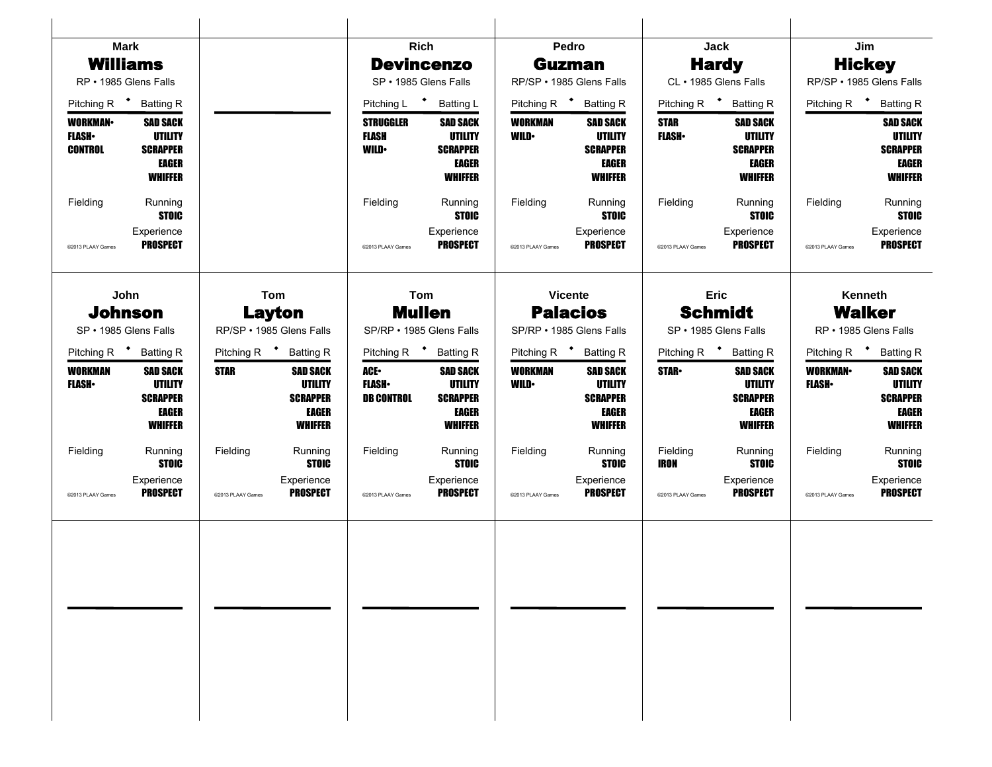|                           | <b>Mark</b>                       |                         |                                                      |                             | <b>Rich</b>                       |                         | Pedro                             |                         | Jack                              |                         | Jim                               |  |
|---------------------------|-----------------------------------|-------------------------|------------------------------------------------------|-----------------------------|-----------------------------------|-------------------------|-----------------------------------|-------------------------|-----------------------------------|-------------------------|-----------------------------------|--|
|                           | <b>Williams</b>                   |                         |                                                      |                             | <b>Devincenzo</b>                 |                         | Guzman                            |                         | <b>Hardy</b>                      |                         | <b>Hickey</b>                     |  |
|                           | RP · 1985 Glens Falls             |                         |                                                      |                             | SP · 1985 Glens Falls             |                         | RP/SP · 1985 Glens Falls          |                         | CL · 1985 Glens Falls             |                         | RP/SP · 1985 Glens Falls          |  |
| Pitching R $\bullet$      | <b>Batting R</b>                  |                         |                                                      | Pitching L <sup>+</sup>     | <b>Batting L</b>                  | Pitching R <sup>+</sup> | <b>Batting R</b>                  | Pitching R <sup>+</sup> | <b>Batting R</b>                  | Pitching R $\bullet$    | <b>Batting R</b>                  |  |
| <b>WORKMAN-</b>           | <b>SAD SACK</b>                   |                         |                                                      | <b>STRUGGLER</b>            | <b>SAD SACK</b>                   | WORKMAN                 | <b>SAD SACK</b>                   | <b>STAR</b>             | <b>SAD SACK</b>                   |                         | <b>SAD SACK</b>                   |  |
| <b>FLASH</b> •<br>CONTROL | <b>UTILITY</b><br><b>SCRAPPER</b> |                         |                                                      | <b>FLASH</b><br><b>WILD</b> | UTILITY<br><b>SCRAPPER</b>        | <b>WILD•</b>            | <b>UTILITY</b><br><b>SCRAPPER</b> | <b>FLASH</b> •          | <b>UTILITY</b><br><b>SCRAPPER</b> |                         | <b>UTILITY</b><br><b>SCRAPPER</b> |  |
|                           | EAGER                             |                         |                                                      |                             | EAGER                             |                         | <b>EAGER</b>                      |                         | <b>EAGER</b>                      |                         | <b>EAGER</b>                      |  |
|                           | <b>WHIFFER</b>                    |                         |                                                      |                             | WHIFFER                           |                         | <b>WHIFFER</b>                    |                         | <b>WHIFFER</b>                    |                         | <b>WHIFFER</b>                    |  |
| Fielding                  | Running<br><b>STOIC</b>           |                         |                                                      | Fielding                    | Running<br><b>STOIC</b>           | Fielding                | Running<br><b>STOIC</b>           | Fielding                | Running<br><b>STOIC</b>           | Fielding                | Running<br><b>STOIC</b>           |  |
| @2013 PLAAY Games         | Experience<br><b>PROSPECT</b>     |                         |                                                      | @2013 PLAAY Games           | Experience<br><b>PROSPECT</b>     | @2013 PLAAY Games       | Experience<br><b>PROSPECT</b>     | @2013 PLAAY Games       | Experience<br><b>PROSPECT</b>     | @2013 PLAAY Games       | Experience<br><b>PROSPECT</b>     |  |
|                           | John<br><b>Johnson</b>            |                         | Tom<br><b>Layton</b>                                 |                             | <b>Tom</b><br><b>Mullen</b>       |                         | <b>Vicente</b><br><b>Palacios</b> |                         | <b>Eric</b><br><b>Schmidt</b>     |                         | Kenneth<br><b>Walker</b>          |  |
|                           | SP · 1985 Glens Falls             |                         | RP/SP · 1985 Glens Falls<br>SP/RP . 1985 Glens Falls |                             |                                   |                         | SP/RP • 1985 Glens Falls          | SP · 1985 Glens Falls   |                                   | RP · 1985 Glens Falls   |                                   |  |
| Pitching R $\bullet$      | <b>Batting R</b>                  | Pitching R <sup>+</sup> | <b>Batting R</b>                                     |                             | Pitching R <sup>+</sup> Batting R | Pitching R $\bullet$    | <b>Batting R</b>                  | Pitching R $\bullet$    | <b>Batting R</b>                  | Pitching R <sup>+</sup> | <b>Batting R</b>                  |  |
| <b>WORKMAN</b>            | <b>SAD SACK</b>                   | <b>STAR</b>             | <b>SAD SACK</b>                                      | <b>ACE</b>                  | <b>SAD SACK</b>                   | WORKMAN                 | <b>SAD SACK</b>                   | <b>STAR</b>             | <b>SAD SACK</b>                   | <b>WORKMAN</b>          | <b>SAD SACK</b>                   |  |
| <b>FLASH</b> •            | <b>UTILITY</b>                    |                         | <b>UTILITY</b>                                       | <b>FLASH</b>                | <b>UTILITY</b>                    | <b>WILD</b>             | <b>UTILITY</b>                    |                         | <b>UTILITY</b>                    | <b>FLASH</b> •          | UTILITY                           |  |
|                           | <b>SCRAPPER</b><br>EAGER          |                         | <b>SCRAPPER</b><br><b>EAGER</b>                      | <b>DB CONTROL</b>           | <b>SCRAPPER</b><br><b>EAGER</b>   |                         | <b>SCRAPPER</b><br><b>EAGER</b>   |                         | <b>SCRAPPER</b><br><b>EAGER</b>   |                         | <b>SCRAPPER</b><br><b>EAGER</b>   |  |
|                           | <b>WHIFFER</b>                    |                         | <b>WHIFFER</b>                                       |                             | WHIFFER                           |                         | <b>WHIFFER</b>                    |                         | <b>WHIFFER</b>                    |                         | <b>WHIFFER</b>                    |  |
| Fielding                  | Running<br><b>STOIC</b>           | Fielding                | Running<br><b>STOIC</b>                              | Fielding                    | Running<br><b>STOIC</b>           | Fielding                | Running<br><b>STOIC</b>           | Fielding<br><b>IRON</b> | Running<br><b>STOIC</b>           | Fielding                | Running<br><b>STOIC</b>           |  |
|                           | Experience                        |                         | Experience                                           |                             | Experience                        |                         | Experience                        |                         | Experience                        |                         | Experience                        |  |
| @2013 PLAAY Games         | <b>PROSPECT</b>                   | @2013 PLAAY Games       | <b>PROSPECT</b>                                      | @2013 PLAAY Games           | PROSPECT                          | @2013 PLAAY Games       | <b>PROSPECT</b>                   | @2013 PLAAY Games       | <b>PROSPECT</b>                   | @2013 PLAAY Games       | <b>PROSPECT</b>                   |  |
|                           |                                   |                         |                                                      |                             |                                   |                         |                                   |                         |                                   |                         |                                   |  |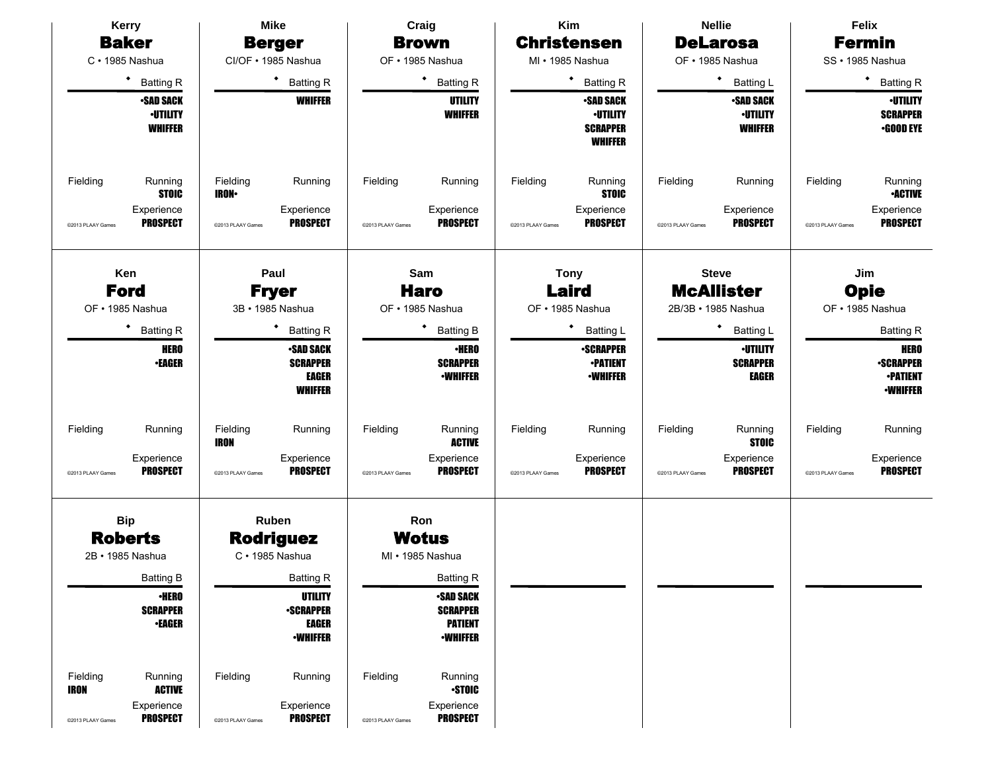| Kerry                                                                                                                                                                                  | <b>Mike</b>                                                                                                                                                                    | Craig                                                                                                                                                                                        | Kim                                                                                       | <b>Nellie</b>                                                                             | <b>Felix</b>                                                                                |
|----------------------------------------------------------------------------------------------------------------------------------------------------------------------------------------|--------------------------------------------------------------------------------------------------------------------------------------------------------------------------------|----------------------------------------------------------------------------------------------------------------------------------------------------------------------------------------------|-------------------------------------------------------------------------------------------|-------------------------------------------------------------------------------------------|---------------------------------------------------------------------------------------------|
| <b>Baker</b>                                                                                                                                                                           | <b>Berger</b>                                                                                                                                                                  | <b>Brown</b>                                                                                                                                                                                 | <b>Christensen</b>                                                                        | <b>DeLarosa</b>                                                                           | <b>Fermin</b>                                                                               |
| C · 1985 Nashua                                                                                                                                                                        | CI/OF . 1985 Nashua                                                                                                                                                            | OF · 1985 Nashua                                                                                                                                                                             | MI • 1985 Nashua                                                                          | OF • 1985 Nashua                                                                          | SS · 1985 Nashua                                                                            |
| $\bullet$<br><b>Batting R</b>                                                                                                                                                          | $\bullet$<br><b>Batting R</b>                                                                                                                                                  | ٠<br><b>Batting R</b>                                                                                                                                                                        | <b>Batting R</b>                                                                          | $\bullet$<br><b>Batting L</b>                                                             | $\bullet$<br><b>Batting R</b>                                                               |
| <b>•SAD SACK</b><br><b>-UTILITY</b><br><b>WHIFFER</b>                                                                                                                                  | <b>WHIFFER</b>                                                                                                                                                                 | <b>UTILITY</b><br><b>WHIFFER</b>                                                                                                                                                             | <b>-SAD SACK</b><br><b>·UTILITY</b><br><b>SCRAPPER</b><br><b>WHIFFER</b>                  | <b>-SAD SACK</b><br><b>•UTILITY</b><br><b>WHIFFER</b>                                     | <b>·UTILITY</b><br><b>SCRAPPER</b><br><b>-GOOD EYE</b>                                      |
| Fielding<br>Running<br><b>STOIC</b><br>Experience<br><b>PROSPECT</b><br>@2013 PLAAY Games                                                                                              | Running<br>Fielding<br><b>IRON-</b><br>Experience<br><b>PROSPECT</b><br>@2013 PLAAY Games                                                                                      | Fielding<br>Running<br>Experience<br><b>PROSPECT</b><br>@2013 PLAAY Games                                                                                                                    | Fielding<br>Running<br><b>STOIC</b><br>Experience<br><b>PROSPECT</b><br>@2013 PLAAY Games | Fielding<br>Running<br>Experience<br><b>PROSPECT</b><br>@2013 PLAAY Games                 | Fielding<br>Running<br><b>•ACTIVE</b><br>Experience<br><b>PROSPECT</b><br>@2013 PLAAY Games |
| Ken<br><b>Ford</b><br>OF • 1985 Nashua                                                                                                                                                 | Paul<br><b>Fryer</b><br>3B · 1985 Nashua                                                                                                                                       | Sam<br><b>Haro</b><br>OF · 1985 Nashua                                                                                                                                                       | <b>Tony</b><br><b>Laird</b><br>OF · 1985 Nashua                                           | <b>Steve</b><br><b>McAllister</b><br>2B/3B · 1985 Nashua                                  | Jim<br><b>Opie</b><br>OF • 1985 Nashua                                                      |
| $\bullet$<br><b>Batting R</b><br><b>HERO</b><br>•EAGER                                                                                                                                 | <b>Batting R</b><br><b>SAD SACK</b><br><b>SCRAPPER</b><br><b>EAGER</b><br><b>WHIFFER</b>                                                                                       | ٠<br><b>Batting B</b><br><b>•HERO</b><br><b>SCRAPPER</b><br><b>-WHIFFER</b>                                                                                                                  | <b>Batting L</b><br><b>-SCRAPPER</b><br><b>•PATIENT</b><br><b>•WHIFFER</b>                | ٠<br><b>Batting L</b><br><b>-UTILITY</b><br><b>SCRAPPER</b><br>EAGER                      | <b>Batting R</b><br><b>HERO</b><br><b>-SCRAPPER</b><br><b>-PATIENT</b><br><b>-WHIFFER</b>   |
| Fielding<br>Running<br>Experience<br><b>PROSPECT</b><br>@2013 PLAAY Games                                                                                                              | Fielding<br>Running<br><b>IRON</b><br>Experience<br><b>PROSPECT</b><br>@2013 PLAAY Games                                                                                       | Fielding<br>Running<br><b>ACTIVE</b><br>Experience<br><b>PROSPECT</b><br>@2013 PLAAY Games                                                                                                   | Fielding<br>Running<br>Experience<br><b>PROSPECT</b><br>@2013 PLAAY Games                 | Fielding<br>Running<br><b>STOIC</b><br>Experience<br><b>PROSPECT</b><br>@2013 PLAAY Games | Fielding<br>Running<br>Experience<br><b>PROSPECT</b><br>@2013 PLAAY Games                   |
| <b>Bip</b><br><b>Roberts</b><br>2B · 1985 Nashua<br><b>Batting B</b><br><b>•HERO</b><br><b>SCRAPPER</b><br><b>•EAGER</b><br>Fielding<br>Running<br><b>ACTIVE</b><br>IRON<br>Experience | Ruben<br><b>Rodriguez</b><br>C · 1985 Nashua<br><b>Batting R</b><br><b>UTILITY</b><br><b>•SCRAPPER</b><br><b>EAGER</b><br><b>-WHIFFER</b><br>Fielding<br>Running<br>Experience | Ron<br><b>Wotus</b><br>MI · 1985 Nashua<br><b>Batting R</b><br><b>-SAD SACK</b><br><b>SCRAPPER</b><br><b>PATIENT</b><br><b>•WHIFFER</b><br>Fielding<br>Running<br><b>STOIC</b><br>Experience |                                                                                           |                                                                                           |                                                                                             |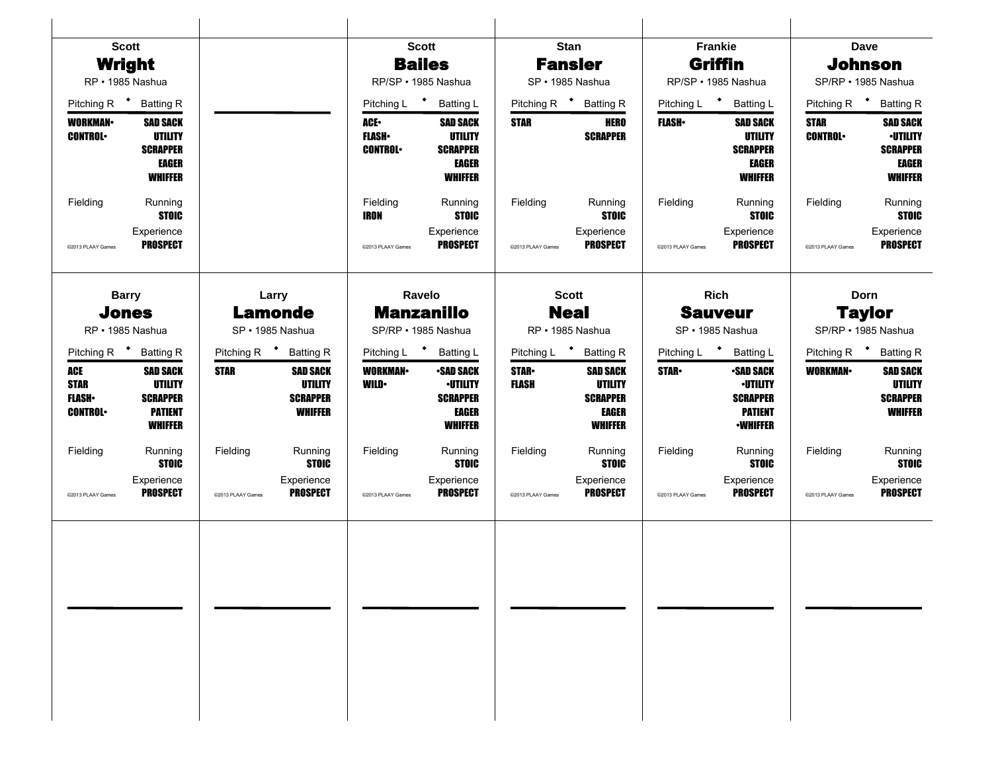| <b>Scott</b>                                         |                                                                                          |                               |                                                                 |                                        | <b>Scott</b>                                                                             |                             | <b>Stan</b>                                                              |                         | <b>Frankie</b>                                                                             |                               | <b>Dave</b>                                                                      |
|------------------------------------------------------|------------------------------------------------------------------------------------------|-------------------------------|-----------------------------------------------------------------|----------------------------------------|------------------------------------------------------------------------------------------|-----------------------------|--------------------------------------------------------------------------|-------------------------|--------------------------------------------------------------------------------------------|-------------------------------|----------------------------------------------------------------------------------|
| Wright                                               |                                                                                          |                               |                                                                 |                                        | <b>Bailes</b>                                                                            |                             | <b>Fansler</b>                                                           |                         | Griffin                                                                                    |                               | <b>Johnson</b>                                                                   |
| RP · 1985 Nashua                                     |                                                                                          |                               |                                                                 |                                        | RP/SP · 1985 Nashua                                                                      |                             | SP · 1985 Nashua                                                         |                         | RP/SP · 1985 Nashua                                                                        |                               | SP/RP · 1985 Nashua                                                              |
| Pitching R <sup>+</sup> Batting R                    |                                                                                          |                               |                                                                 | Pitching L <sup>+</sup>                | <b>Batting L</b>                                                                         |                             | Pitching R <sup>+</sup> Batting R                                        | Pitching L <sup>+</sup> | <b>Batting L</b>                                                                           |                               | Pitching R <sup>+</sup> Batting R                                                |
| <b>WORKMAN-</b><br><b>CONTROL</b>                    | SAD SACK<br><b>UTILITY</b><br><b>SCRAPPER</b><br>EAGER<br><b>WHIFFER</b>                 |                               |                                                                 | ACE.<br><b>FLASH</b><br><b>CONTROL</b> | <b>SAD SACK</b><br><b>UTILITY</b><br><b>SCRAPPER</b><br>EAGER<br><b>WHIFFER</b>          | <b>STAR</b>                 | <b>HERO</b><br><b>SCRAPPER</b>                                           | <b>FLASH</b> •          | <b>SAD SACK</b><br><b>UTILITY</b><br><b>SCRAPPER</b><br>EAGER<br>WHIFFER                   | <b>STAR</b><br><b>CONTROL</b> | <b>SAD SACK</b><br><b>·UTILITY</b><br><b>SCRAPPER</b><br>EAGER<br><b>WHIFFER</b> |
| Fielding                                             | Running<br><b>STOIC</b>                                                                  |                               |                                                                 | Fielding<br>IRON                       | Running<br><b>STOIC</b>                                                                  | Fielding                    | Running<br><b>STOIC</b>                                                  | Fielding                | Running<br><b>STOIC</b>                                                                    | Fielding                      | Running<br><b>STOIC</b>                                                          |
| @2013 PLAAY Games                                    | Experience<br><b>PROSPECT</b>                                                            |                               |                                                                 | @2013 PLAAY Games                      | Experience<br><b>PROSPECT</b>                                                            | @2013 PLAAY Games           | Experience<br><b>PROSPECT</b>                                            | @2013 PLAAY Games       | Experience<br><b>PROSPECT</b>                                                              | @2013 PLAAY Games             | Experience<br><b>PROSPECT</b>                                                    |
| <b>Barry</b>                                         |                                                                                          |                               | Larry                                                           |                                        | Ravelo                                                                                   |                             | <b>Scott</b>                                                             |                         | Rich                                                                                       |                               | Dorn                                                                             |
| <b>Jones</b>                                         |                                                                                          |                               | <b>Lamonde</b>                                                  |                                        | <b>Manzanillo</b>                                                                        |                             | <b>Neal</b>                                                              |                         | <b>Sauveur</b>                                                                             |                               | <b>Taylor</b>                                                                    |
| RP · 1985 Nashua                                     |                                                                                          |                               | SP · 1985 Nashua                                                |                                        | SP/RP · 1985 Nashua                                                                      |                             | RP · 1985 Nashua                                                         | SP · 1985 Nashua        |                                                                                            |                               | SP/RP · 1985 Nashua                                                              |
| Pitching R <sup>+</sup> Batting R                    |                                                                                          | Pitching R <b>*</b> Batting R |                                                                 | Pitching L <sup>+</sup>                | <b>Batting L</b>                                                                         |                             | Pitching L <sup>+</sup> Batting R                                        | Pitching L <sup>+</sup> | <b>Batting L</b>                                                                           |                               | Pitching R <b>*</b> Batting R                                                    |
| ACE<br><b>STAR</b><br><b>FLASH</b><br><b>CONTROL</b> | <b>SAD SACK</b><br><b>UTILITY</b><br><b>SCRAPPER</b><br><b>PATIENT</b><br><b>WHIFFER</b> | <b>STAR</b>                   | <b>SAD SACK</b><br>UTILITY<br><b>SCRAPPER</b><br><b>WHIFFER</b> | <b>WORKMAN</b><br><b>WILD</b>          | <b>-SAD SACK</b><br><b>•UTILITY</b><br><b>SCRAPPER</b><br><b>EAGER</b><br><b>WHIFFER</b> | <b>STAR</b><br><b>FLASH</b> | <b>SAD SACK</b><br>UTILITY<br><b>SCRAPPER</b><br>EAGER<br><b>WHIFFER</b> | <b>STAR</b>             | <b>SAD SACK</b><br><b>•UTILITY</b><br><b>SCRAPPER</b><br><b>PATIENT</b><br><b>•WHIFFER</b> | <b>WORKMAN-</b>               | <b>SAD SACK</b><br>UTILITY<br><b>SCRAPPER</b><br><b>WHIFFER</b>                  |
| Fielding                                             | Running<br><b>STOIC</b>                                                                  | Fielding                      | Running<br><b>STOIC</b>                                         | Fielding                               | Running<br><b>STOIC</b>                                                                  | Fielding                    | Running<br><b>STOIC</b>                                                  | Fielding                | Running<br><b>STOIC</b>                                                                    | Fielding                      | Running<br><b>STOIC</b>                                                          |
| @2013 PLAAY Games                                    | Experience<br><b>PROSPECT</b>                                                            | @2013 PLAAY Games             | Experience<br><b>PROSPECT</b>                                   | @2013 PLAAY Games                      | Experience<br><b>PROSPECT</b>                                                            | @2013 PLAAY Games           | Experience<br><b>PROSPECT</b>                                            | @2013 PLAAY Games       | Experience<br><b>PROSPECT</b>                                                              | @2013 PLAAY Games             | Experience<br><b>PROSPECT</b>                                                    |
|                                                      |                                                                                          |                               |                                                                 |                                        |                                                                                          |                             |                                                                          |                         |                                                                                            |                               |                                                                                  |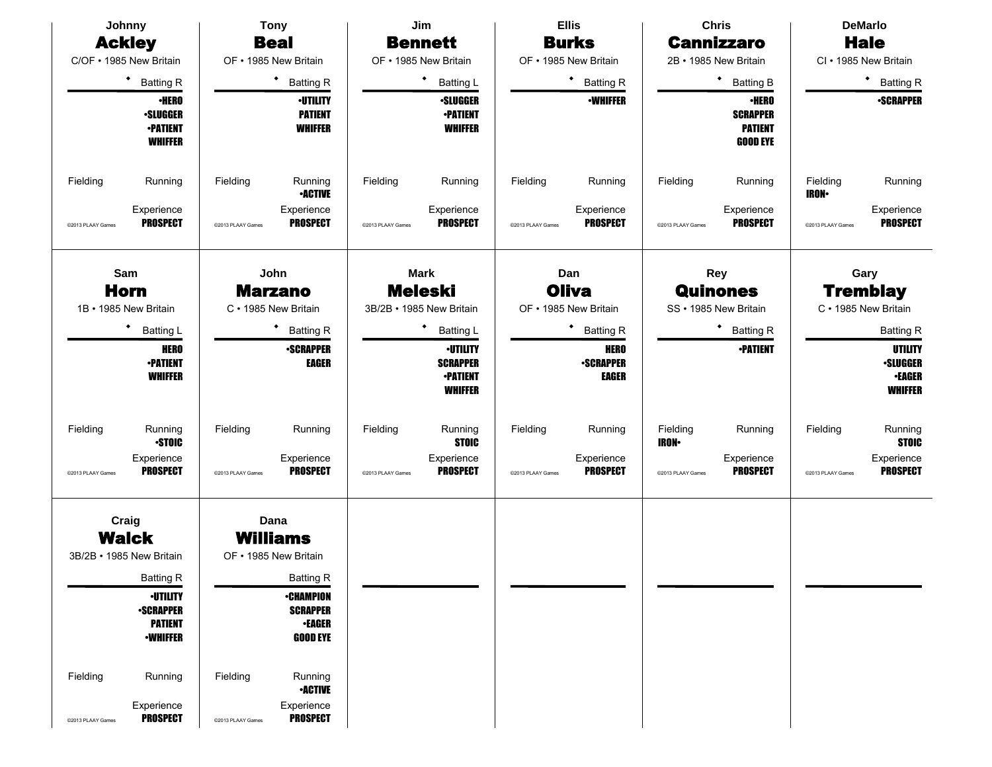|                         | Johnny                                                                   |                   | <b>Tony</b>                                                             |                   | Jim                                                       |                   | <b>Ellis</b>                                 |                         | <b>Chris</b>                                                         |                           | <b>DeMarlo</b>                                     |
|-------------------------|--------------------------------------------------------------------------|-------------------|-------------------------------------------------------------------------|-------------------|-----------------------------------------------------------|-------------------|----------------------------------------------|-------------------------|----------------------------------------------------------------------|---------------------------|----------------------------------------------------|
|                         | <b>Ackley</b>                                                            |                   | <b>Beal</b>                                                             |                   | <b>Bennett</b>                                            |                   | <b>Burks</b>                                 |                         | <b>Cannizzaro</b>                                                    |                           | <b>Hale</b>                                        |
| C/OF • 1985 New Britain |                                                                          |                   | OF . 1985 New Britain                                                   |                   | OF • 1985 New Britain                                     |                   | OF . 1985 New Britain                        |                         | 2B · 1985 New Britain                                                |                           | CI · 1985 New Britain                              |
|                         | $\bullet$<br><b>Batting R</b>                                            |                   | $\bullet$<br><b>Batting R</b>                                           |                   | ٠<br><b>Batting L</b>                                     |                   | ٠<br><b>Batting R</b>                        |                         | $\bullet$<br><b>Batting B</b>                                        |                           | $\bullet$<br><b>Batting R</b>                      |
|                         | <b>•HERO</b><br><b>·SLUGGER</b><br><b>•PATIENT</b><br><b>WHIFFER</b>     |                   | <b>-UTILITY</b><br><b>PATIENT</b><br><b>WHIFFER</b>                     |                   | <b>-SLUGGER</b><br><b>-PATIENT</b><br><b>WHIFFER</b>      |                   | <b>-WHIFFER</b>                              |                         | <b>•HERO</b><br><b>SCRAPPER</b><br><b>PATIENT</b><br><b>GOOD EYE</b> |                           | <b>-SCRAPPER</b>                                   |
| Fielding                | Running                                                                  | Fielding          | Running<br><b>•ACTIVE</b>                                               | Fielding          | Running                                                   | Fielding          | Running                                      | Fielding                | Running                                                              | Fielding<br><b>IRON</b> • | Running                                            |
| @2013 PLAAY Games       | Experience<br><b>PROSPECT</b>                                            | @2013 PLAAY Games | Experience<br><b>PROSPECT</b>                                           | @2013 PLAAY Games | Experience<br><b>PROSPECT</b>                             | @2013 PLAAY Games | Experience<br><b>PROSPECT</b>                | @2013 PLAAY Games       | Experience<br><b>PROSPECT</b>                                        | @2013 PLAAY Games         | Experience<br><b>PROSPECT</b>                      |
| 1B · 1985 New Britain   | Sam<br><b>Horn</b>                                                       |                   | John<br><b>Marzano</b><br>C · 1985 New Britain                          |                   | <b>Mark</b><br><b>Meleski</b><br>3B/2B · 1985 New Britain |                   | Dan<br><b>Oliva</b><br>OF • 1985 New Britain |                         | <b>Rey</b><br><b>Quinones</b><br>SS · 1985 New Britain               |                           | Gary<br><b>Tremblay</b><br>C · 1985 New Britain    |
|                         | ٠                                                                        |                   | ٠                                                                       |                   | ٠                                                         |                   | ٠                                            |                         | ٠                                                                    |                           |                                                    |
|                         | <b>Batting L</b><br><b>HERO</b>                                          |                   | <b>Batting R</b><br><b>-SCRAPPER</b>                                    |                   | <b>Batting L</b><br><b>·UTILITY</b>                       |                   | <b>Batting R</b><br><b>HERO</b>              |                         | <b>Batting R</b><br><b>-PATIENT</b>                                  |                           | <b>Batting R</b><br><b>UTILITY</b>                 |
|                         | <b>-PATIENT</b><br><b>WHIFFER</b>                                        |                   | EAGER                                                                   |                   | <b>SCRAPPER</b><br><b>-PATIENT</b><br><b>WHIFFER</b>      |                   | <b>-SCRAPPER</b><br>EAGER                    |                         |                                                                      |                           | <b>-SLUGGER</b><br><b>•EAGER</b><br><b>WHIFFER</b> |
| Fielding                | Running<br><b>STOIC</b>                                                  | Fielding          | Running                                                                 | Fielding          | Running<br><b>STOIC</b>                                   | Fielding          | Running                                      | Fielding<br><b>IRON</b> | Running                                                              | Fielding                  | Running<br><b>STOIC</b>                            |
| @2013 PLAAY Games       | Experience<br><b>PROSPECT</b>                                            | @2013 PLAAY Games | Experience<br><b>PROSPECT</b>                                           | @2013 PLAAY Games | Experience<br><b>PROSPECT</b>                             | @2013 PLAAY Games | Experience<br><b>PROSPECT</b>                | @2013 PLAAY Games       | Experience<br><b>PROSPECT</b>                                        | @2013 PLAAY Games         | Experience<br><b>PROSPECT</b>                      |
| Craig                   | <b>Walck</b><br>3B/2B · 1985 New Britain                                 |                   | Dana<br><b>Williams</b><br>OF • 1985 New Britain                        |                   |                                                           |                   |                                              |                         |                                                                      |                           |                                                    |
|                         | <b>Batting R</b>                                                         |                   | <b>Batting R</b>                                                        |                   |                                                           |                   |                                              |                         |                                                                      |                           |                                                    |
|                         | <b>-UTILITY</b><br><b>-SCRAPPER</b><br><b>PATIENT</b><br><b>-WHIFFER</b> |                   | <b>•CHAMPION</b><br><b>SCRAPPER</b><br><b>•EAGER</b><br><b>GOOD EYE</b> |                   |                                                           |                   |                                              |                         |                                                                      |                           |                                                    |
| Fielding                | Running                                                                  | Fielding          | Running<br><b>•ACTIVE</b>                                               |                   |                                                           |                   |                                              |                         |                                                                      |                           |                                                    |
| @2013 PLAAY Games       | Experience<br><b>PROSPECT</b>                                            | @2013 PLAAY Games | Experience<br><b>PROSPECT</b>                                           |                   |                                                           |                   |                                              |                         |                                                                      |                           |                                                    |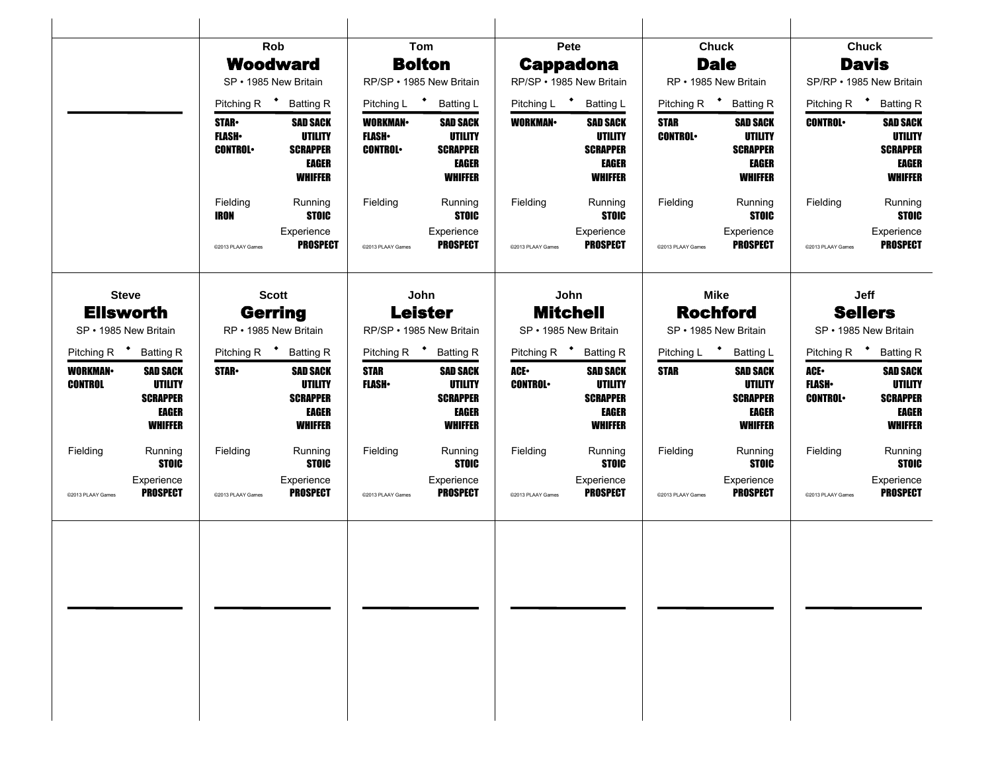|                                   |                                                                                 |                                                 | Rob                                                                             |                                                  | Tom                                                                                    |                                          | Pete                                                                            |                                             | <b>Chuck</b>                                                                           |                                             | <b>Chuck</b>                                                                           |
|-----------------------------------|---------------------------------------------------------------------------------|-------------------------------------------------|---------------------------------------------------------------------------------|--------------------------------------------------|----------------------------------------------------------------------------------------|------------------------------------------|---------------------------------------------------------------------------------|---------------------------------------------|----------------------------------------------------------------------------------------|---------------------------------------------|----------------------------------------------------------------------------------------|
|                                   |                                                                                 |                                                 | <b>Woodward</b>                                                                 |                                                  | <b>Bolton</b>                                                                          |                                          | <b>Cappadona</b>                                                                |                                             | <b>Dale</b>                                                                            |                                             | <b>Davis</b>                                                                           |
|                                   |                                                                                 |                                                 | SP · 1985 New Britain                                                           |                                                  | RP/SP • 1985 New Britain                                                               |                                          | RP/SP · 1985 New Britain                                                        |                                             | RP • 1985 New Britain                                                                  |                                             | SP/RP • 1985 New Britain                                                               |
|                                   |                                                                                 | Pitching R $\bullet$                            | <b>Batting R</b>                                                                | Pitching L <sup>+</sup>                          | <b>Batting L</b>                                                                       | Pitching L <sup>+</sup>                  | <b>Batting L</b>                                                                |                                             | Pitching R <b>*</b> Batting R                                                          |                                             | Pitching R <sup>+</sup> Batting R                                                      |
|                                   |                                                                                 | <b>STAR</b> •<br><b>FLASH</b><br><b>CONTROL</b> | <b>SAD SACK</b><br><b>UTILITY</b><br><b>SCRAPPER</b><br>EAGER<br><b>WHIFFER</b> | <b>WORKMAN</b><br><b>FLASH</b><br><b>CONTROL</b> | <b>SAD SACK</b><br><b>UTILITY</b><br><b>SCRAPPER</b><br><b>EAGER</b><br><b>WHIFFER</b> | <b>WORKMAN</b>                           | <b>SAD SACK</b><br><b>UTILITY</b><br><b>SCRAPPER</b><br>EAGER<br><b>WHIFFER</b> | <b>STAR</b><br><b>CONTROL</b>               | <b>SAD SACK</b><br><b>UTILITY</b><br><b>SCRAPPER</b><br><b>EAGER</b><br><b>WHIFFER</b> | <b>CONTROL</b>                              | <b>SAD SACK</b><br><b>UTILITY</b><br><b>SCRAPPER</b><br>EAGER<br><b>WHIFFER</b>        |
|                                   |                                                                                 | Fielding<br>IRON                                | Running<br><b>STOIC</b>                                                         | Fielding                                         | Running<br><b>STOIC</b>                                                                | Fielding                                 | Running<br><b>STOIC</b>                                                         | Fielding                                    | Running<br><b>STOIC</b>                                                                | Fielding                                    | Running<br><b>STOIC</b>                                                                |
|                                   |                                                                                 | @2013 PLAAY Games                               | Experience<br><b>PROSPECT</b>                                                   | @2013 PLAAY Games                                | Experience<br><b>PROSPECT</b>                                                          | @2013 PLAAY Games                        | Experience<br><b>PROSPECT</b>                                                   | @2013 PLAAY Games                           | Experience<br><b>PROSPECT</b>                                                          | @2013 PLAAY Games                           | Experience<br><b>PROSPECT</b>                                                          |
|                                   | <b>Steve</b>                                                                    |                                                 | <b>Scott</b>                                                                    |                                                  | John                                                                                   |                                          | John                                                                            |                                             | <b>Mike</b>                                                                            |                                             | Jeff                                                                                   |
|                                   | <b>Ellsworth</b><br>SP · 1985 New Britain                                       | <b>Gerring</b><br>RP · 1985 New Britain         |                                                                                 | <b>Leister</b><br>RP/SP • 1985 New Britain       |                                                                                        | <b>Mitchell</b><br>SP · 1985 New Britain |                                                                                 | <b>Rochford</b><br>SP · 1985 New Britain    |                                                                                        | <b>Sellers</b><br>SP • 1985 New Britain     |                                                                                        |
|                                   | Pitching R <sup>+</sup> Batting R                                               | Pitching R <sup>+</sup>                         | <b>Batting R</b>                                                                | Pitching R <sup>+</sup> Batting R                |                                                                                        | Pitching R <sup>+</sup> Batting R        |                                                                                 | Pitching L <sup>+</sup><br><b>Batting L</b> |                                                                                        | Pitching R <sup>+</sup><br><b>Batting R</b> |                                                                                        |
| <b>WORKMAN-</b><br><b>CONTROL</b> | <b>SAD SACK</b><br><b>UTILITY</b><br><b>SCRAPPER</b><br>EAGER<br><b>WHIFFER</b> | <b>STAR</b>                                     | <b>SAD SACK</b><br><b>UTILITY</b><br><b>SCRAPPER</b><br>EAGER<br><b>WHIFFER</b> | <b>STAR</b><br><b>FLASH</b>                      | <b>SAD SACK</b><br><b>UTILITY</b><br><b>SCRAPPER</b><br><b>EAGER</b><br><b>WHIFFER</b> | ACE.<br><b>CONTROL</b>                   | <b>SAD SACK</b><br><b>UTILITY</b><br><b>SCRAPPER</b><br>EAGER<br>WHIFFER        | <b>STAR</b>                                 | <b>SAD SACK</b><br>UTILITY<br><b>SCRAPPER</b><br><b>EAGER</b><br><b>WHIFFER</b>        | ACE.<br><b>FLASH</b><br><b>CONTROL</b>      | <b>SAD SACK</b><br><b>UTILITY</b><br><b>SCRAPPER</b><br><b>EAGER</b><br><b>WHIFFER</b> |
| Fielding                          | Running<br><b>STOIC</b>                                                         | Fielding                                        | Running<br><b>STOIC</b>                                                         | Fielding                                         | Running<br><b>STOIC</b>                                                                | Fielding                                 | Running<br><b>STOIC</b>                                                         | Fielding                                    | Running<br><b>STOIC</b>                                                                | Fielding                                    | Running<br><b>STOIC</b>                                                                |
| @2013 PLAAY Games                 | Experience<br>PROSPECT                                                          | @2013 PLAAY Games                               | Experience<br><b>PROSPECT</b>                                                   | @2013 PLAAY Games                                | Experience<br><b>PROSPECT</b>                                                          | @2013 PLAAY Games                        | Experience<br><b>PROSPECT</b>                                                   | @2013 PLAAY Games                           | Experience<br><b>PROSPECT</b>                                                          | @2013 PLAAY Games                           | Experience<br><b>PROSPECT</b>                                                          |
|                                   |                                                                                 |                                                 |                                                                                 |                                                  |                                                                                        |                                          |                                                                                 |                                             |                                                                                        |                                             |                                                                                        |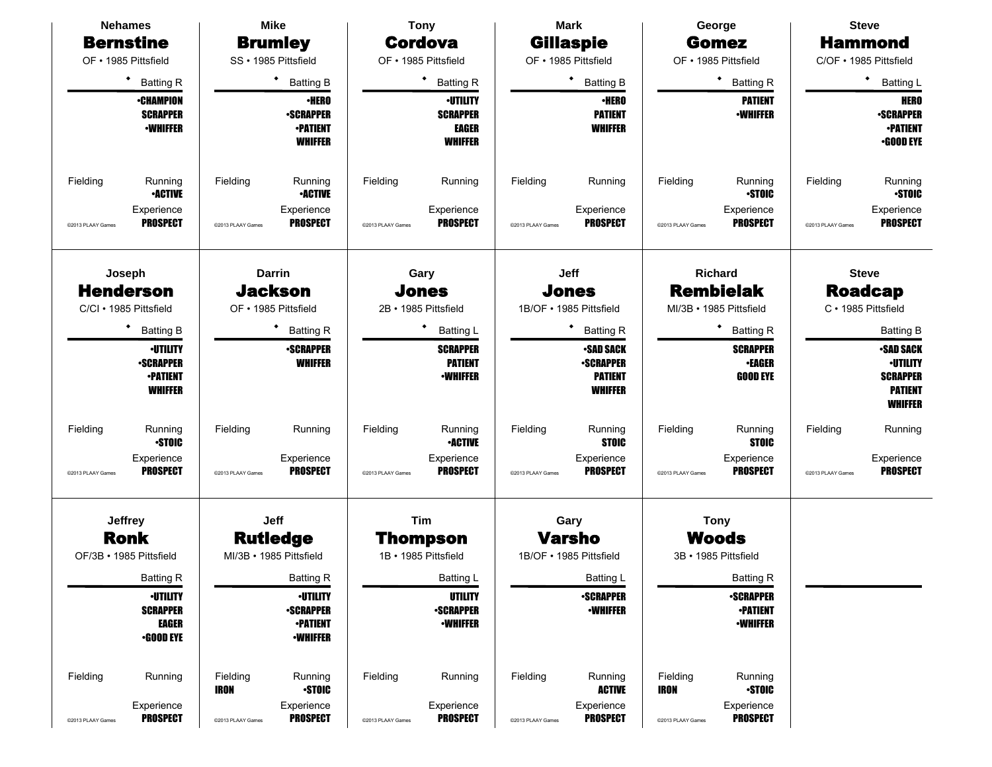|                   | <b>Nehames</b>                     |                   | Mike                                   |                   | <b>Tony</b>                    |                                         | <b>Mark</b>                         |                   | George                              |                   | <b>Steve</b>                         |
|-------------------|------------------------------------|-------------------|----------------------------------------|-------------------|--------------------------------|-----------------------------------------|-------------------------------------|-------------------|-------------------------------------|-------------------|--------------------------------------|
|                   | <b>Bernstine</b>                   |                   | <b>Brumley</b>                         |                   | <b>Cordova</b>                 |                                         | <b>Gillaspie</b>                    |                   | <b>Gomez</b>                        |                   | <b>Hammond</b>                       |
|                   | OF • 1985 Pittsfield               |                   | SS · 1985 Pittsfield                   |                   | OF • 1985 Pittsfield           |                                         | OF • 1985 Pittsfield                |                   | OF · 1985 Pittsfield                |                   | C/OF · 1985 Pittsfield               |
|                   | <b>Batting R</b>                   |                   | <b>Batting B</b>                       |                   | ٠<br><b>Batting R</b>          |                                         | <b>Batting B</b>                    |                   | * Batting R                         |                   | <b>Batting L</b>                     |
|                   | <b>-CHAMPION</b>                   |                   | <b>•HERO</b>                           |                   | <b><i>•UTILITY</i></b>         |                                         | <b>·HERO</b>                        |                   | <b>PATIENT</b>                      |                   | HERO                                 |
|                   | <b>SCRAPPER</b>                    |                   | <b>•SCRAPPER</b>                       |                   | <b>SCRAPPER</b>                |                                         | <b>PATIENT</b>                      |                   | <b>•WHIFFER</b>                     |                   | <b>•SCRAPPER</b>                     |
|                   | <b>•WHIFFER</b>                    |                   | <b>•PATIENT</b><br><b>WHIFFER</b>      |                   | <b>EAGER</b><br><b>WHIFFER</b> |                                         | <b>WHIFFER</b>                      |                   |                                     |                   | <b>-PATIENT</b><br><b>•GOOD EYE</b>  |
|                   |                                    |                   |                                        |                   |                                |                                         |                                     |                   |                                     |                   |                                      |
| Fielding          | Running                            | Fielding          | Running                                | Fielding          | Running                        | Fielding                                | Running                             | Fielding          | Running                             | Fielding          | Running                              |
|                   | <b>•ACTIVE</b>                     |                   | <b>•ACTIVE</b>                         |                   |                                |                                         |                                     |                   | <b>STOIC</b>                        |                   | <b>STOIC</b>                         |
|                   | Experience<br><b>PROSPECT</b>      |                   | Experience<br><b>PROSPECT</b>          |                   | Experience<br><b>PROSPECT</b>  |                                         | Experience<br><b>PROSPECT</b>       |                   | Experience<br><b>PROSPECT</b>       |                   | Experience<br><b>PROSPECT</b>        |
| @2013 PLAAY Games |                                    | @2013 PLAAY Games |                                        | @2013 PLAAY Games |                                | @2013 PLAAY Games                       |                                     | @2013 PLAAY Games |                                     | @2013 PLAAY Games |                                      |
|                   |                                    |                   |                                        |                   |                                |                                         |                                     |                   |                                     |                   |                                      |
|                   | Joseph<br><b>Henderson</b>         |                   | <b>Darrin</b>                          |                   | Gary<br><b>Jones</b>           |                                         | Jeff                                |                   | Richard<br><b>Rembielak</b>         |                   | <b>Steve</b><br><b>Roadcap</b>       |
|                   | C/CI · 1985 Pittsfield             |                   | <b>Jackson</b><br>OF • 1985 Pittsfield |                   | 2B · 1985 Pittsfield           | <b>Jones</b><br>1B/OF • 1985 Pittsfield |                                     |                   | MI/3B · 1985 Pittsfield             |                   | C · 1985 Pittsfield                  |
|                   | <b>Batting B</b>                   |                   | <b>Batting R</b>                       |                   | ٠<br><b>Batting L</b>          |                                         | <b>Batting R</b>                    |                   | ٠<br><b>Batting R</b>               |                   |                                      |
|                   | <b>•UTILITY</b>                    |                   | <b>•SCRAPPER</b>                       |                   | <b>SCRAPPER</b>                |                                         | <b>•SAD SACK</b>                    |                   | <b>SCRAPPER</b>                     |                   | <b>Batting B</b><br><b>•SAD SACK</b> |
|                   | <b>-SCRAPPER</b>                   |                   | <b>WHIFFER</b>                         |                   | <b>PATIENT</b>                 |                                         | <b>-SCRAPPER</b>                    |                   | <b>•EAGER</b>                       |                   | <b>•UTILITY</b>                      |
|                   | <b>•PATIENT</b>                    |                   |                                        |                   | <b>•WHIFFER</b>                |                                         | <b>PATIENT</b>                      |                   | <b>GOOD EYE</b>                     |                   | <b>SCRAPPER</b>                      |
|                   | <b>WHIFFER</b>                     |                   |                                        |                   |                                |                                         | <b>WHIFFER</b>                      |                   |                                     |                   | <b>PATIENT</b><br><b>WHIFFER</b>     |
| Fielding          | Running                            | Fielding          | Running                                | Fielding          | Running                        | Fielding                                | Running                             | Fielding          | Running                             | Fielding          | Running                              |
|                   | <b>STOIC</b>                       |                   |                                        |                   | <b>•ACTIVE</b>                 |                                         | <b>STOIC</b>                        |                   | <b>STOIC</b>                        |                   |                                      |
|                   | Experience                         |                   | Experience                             |                   | Experience                     |                                         | Experience                          |                   | Experience                          |                   | Experience                           |
| @2013 PLAAY Games | <b>PROSPECT</b>                    | @2013 PLAAY Games | <b>PROSPECT</b>                        | @2013 PLAAY Games | <b>PROSPECT</b>                | @2013 PLAAY Games                       | <b>PROSPECT</b>                     | @2013 PLAAY Games | <b>PROSPECT</b>                     | @2013 PLAAY Games | <b>PROSPECT</b>                      |
|                   |                                    |                   |                                        |                   |                                |                                         |                                     |                   |                                     |                   |                                      |
|                   | Jeffrey                            |                   | Jeff                                   |                   | Tim                            |                                         | Gary                                |                   | <b>Tony</b>                         |                   |                                      |
|                   | <b>Ronk</b>                        |                   | <b>Rutledge</b>                        |                   | <b>Thompson</b>                |                                         | <b>Varsho</b>                       |                   | <b>Woods</b>                        |                   |                                      |
|                   | OF/3B · 1985 Pittsfield            |                   | MI/3B · 1985 Pittsfield                |                   | 1B · 1985 Pittsfield           |                                         | 1B/OF · 1985 Pittsfield             |                   | 3B · 1985 Pittsfield                |                   |                                      |
|                   | Batting R                          |                   | <b>Batting R</b>                       |                   | <b>Batting L</b>               |                                         | Batting L                           |                   | <b>Batting R</b>                    |                   |                                      |
|                   | <b>•UTILITY</b><br><b>SCRAPPER</b> |                   | <b>•UTILITY</b><br><b>-SCRAPPER</b>    |                   | UTILITY<br><b>•SCRAPPER</b>    |                                         | <b>-SCRAPPER</b><br><b>-WHIFFER</b> |                   | <b>•SCRAPPER</b><br><b>-PATIENT</b> |                   |                                      |
|                   | <b>EAGER</b>                       |                   | <b>•PATIENT</b>                        |                   | <b>-WHIFFER</b>                |                                         |                                     |                   | <b>-WHIFFER</b>                     |                   |                                      |
|                   | $-$ GOOD EYE                       |                   | <b>-WHIFFER</b>                        |                   |                                |                                         |                                     |                   |                                     |                   |                                      |
| Fielding          | Running                            | Fielding          | Running                                | Fielding          | Running                        | Fielding                                | Running                             | Fielding          | Running                             |                   |                                      |
|                   |                                    | <b>IRON</b>       | <b>STOIC</b>                           |                   |                                |                                         | <b>ACTIVE</b>                       | <b>IRON</b>       | <b>STOIC</b>                        |                   |                                      |
|                   | Experience<br><b>PROSPECT</b>      |                   | Experience<br><b>PROSPECT</b>          |                   | Experience<br><b>PROSPECT</b>  |                                         | Experience<br><b>PROSPECT</b>       |                   | Experience<br><b>PROSPECT</b>       |                   |                                      |
| @2013 PLAAY Games |                                    | @2013 PLAAY Games |                                        | @2013 PLAAY Games |                                | @2013 PLAAY Games                       |                                     | @2013 PLAAY Games |                                     |                   |                                      |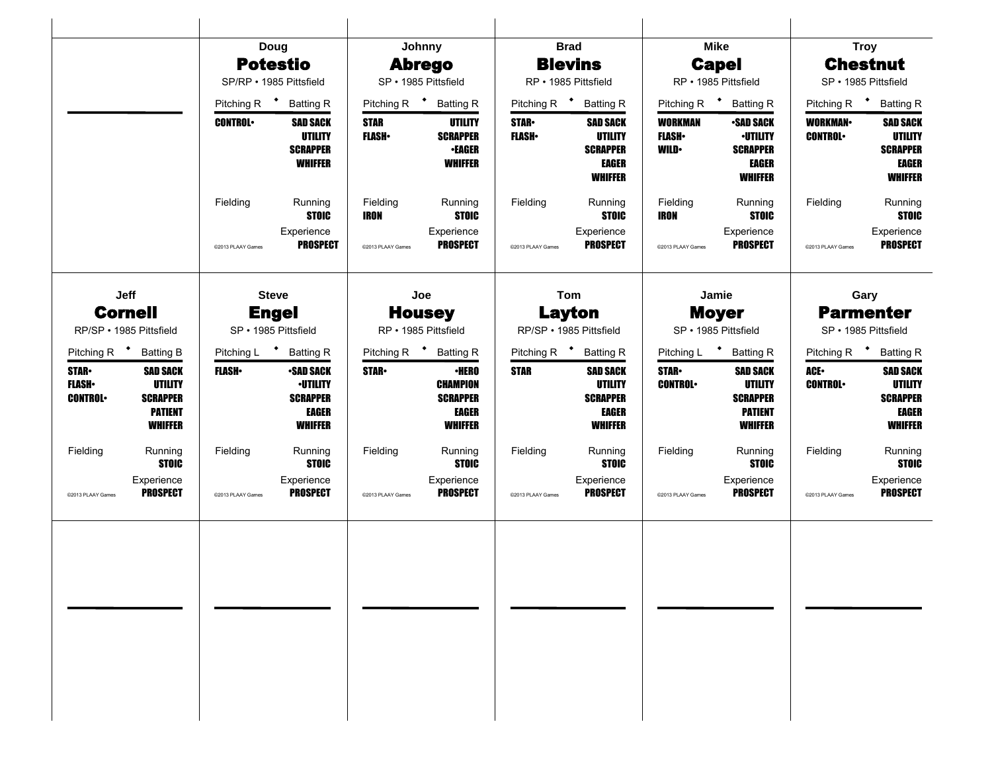|                                                                                                                                        | Doug                                                  | Johnny                                                                                                                                              | <b>Brad</b>                                                                                                           | <b>Mike</b>                                                                                                                          | <b>Troy</b>                                                                                                          |
|----------------------------------------------------------------------------------------------------------------------------------------|-------------------------------------------------------|-----------------------------------------------------------------------------------------------------------------------------------------------------|-----------------------------------------------------------------------------------------------------------------------|--------------------------------------------------------------------------------------------------------------------------------------|----------------------------------------------------------------------------------------------------------------------|
|                                                                                                                                        | <b>Potestio</b>                                       | <b>Abrego</b>                                                                                                                                       | <b>Blevins</b>                                                                                                        | <b>Capel</b>                                                                                                                         | <b>Chestnut</b>                                                                                                      |
|                                                                                                                                        | SP/RP • 1985 Pittsfield                               | SP · 1985 Pittsfield                                                                                                                                | RP · 1985 Pittsfield                                                                                                  | RP · 1985 Pittsfield                                                                                                                 | SP · 1985 Pittsfield                                                                                                 |
|                                                                                                                                        | Pitching R $\bullet$<br><b>Batting R</b>              | Pitching R <sup>+</sup> Batting R                                                                                                                   | Pitching R <b>*</b> Batting R                                                                                         | Pitching R <sup>+</sup> Batting R                                                                                                    | Pitching R <sup>+</sup> Batting R                                                                                    |
|                                                                                                                                        | <b>CONTROL</b><br><b>SCRAPPER</b>                     | <b>SAD SACK</b><br><b>STAR</b><br>UTILITY<br><b>UTILITY</b><br><b>FLASH</b><br><b>SCRAPPER</b><br><b>•EAGER</b><br><b>WHIFFER</b><br><b>WHIFFER</b> | <b>STAR</b><br><b>SAD SACK</b><br><b>FLASH</b><br><b>UTILITY</b><br><b>SCRAPPER</b><br><b>EAGER</b><br><b>WHIFFER</b> | <b>WORKMAN</b><br><b>•SAD SACK</b><br><b>·UTILITY</b><br><b>FLASH</b> •<br><b>WILD</b><br><b>SCRAPPER</b><br>EAGER<br><b>WHIFFER</b> | <b>SAD SACK</b><br><b>WORKMAN-</b><br><b>UTILITY</b><br><b>CONTROL</b><br><b>SCRAPPER</b><br>EAGER<br><b>WHIFFER</b> |
|                                                                                                                                        | Fielding                                              | Running<br>Running<br>Fielding<br><b>STOIC</b><br><b>STOIC</b><br>IRON                                                                              | Fielding<br>Running<br><b>STOIC</b>                                                                                   | Fielding<br>Running<br><b>STOIC</b><br>IRON                                                                                          | Running<br>Fielding<br><b>STOIC</b>                                                                                  |
|                                                                                                                                        | Experience<br>@2013 PLAAY Games                       | Experience<br><b>PROSPECT</b><br><b>PROSPECT</b><br>@2013 PLAAY Games                                                                               | Experience<br><b>PROSPECT</b><br>@2013 PLAAY Games                                                                    | Experience<br><b>PROSPECT</b><br>@2013 PLAAY Games                                                                                   | Experience<br><b>PROSPECT</b><br>@2013 PLAAY Games                                                                   |
| <b>Jeff</b><br><b>Cornell</b>                                                                                                          | <b>Steve</b><br><b>Engel</b>                          | Joe<br><b>Housey</b>                                                                                                                                | Tom<br><b>Layton</b>                                                                                                  | Jamie<br><b>Moyer</b>                                                                                                                | Gary<br><b>Parmenter</b>                                                                                             |
| RP/SP · 1985 Pittsfield                                                                                                                | SP · 1985 Pittsfield                                  | RP · 1985 Pittsfield                                                                                                                                | RP/SP · 1985 Pittsfield                                                                                               | SP · 1985 Pittsfield                                                                                                                 | SP · 1985 Pittsfield                                                                                                 |
| Pitching R <sup>+</sup> Batting B                                                                                                      | Pitching L <sup>+</sup><br><b>Batting R</b>           | Pitching R <sup>+</sup> Batting R                                                                                                                   | Pitching R <sup>+</sup> Batting R                                                                                     | Pitching L <b>*</b> Batting R                                                                                                        | Pitching R <sup>+</sup> Batting R                                                                                    |
| <b>SAD SACK</b><br><b>STAR</b> •<br><b>UTILITY</b><br><b>FLASH</b> •<br><b>SCRAPPER</b><br><b>CONTROL</b><br><b>PATIENT</b><br>WHIFFER | <b>FLASH</b> •<br><b>•SAD SACK</b><br><b>SCRAPPER</b> | <b>·HERO</b><br><b>STAR</b><br><b>·UTILITY</b><br><b>CHAMPION</b><br><b>SCRAPPER</b><br>EAGER<br><b>EAGER</b><br><b>WHIFFER</b><br><b>WHIFFER</b>   | <b>SAD SACK</b><br><b>STAR</b><br><b>UTILITY</b><br><b>SCRAPPER</b><br><b>EAGER</b><br><b>WHIFFER</b>                 | <b>STAR-</b><br><b>SAD SACK</b><br><b>UTILITY</b><br><b>CONTROL</b><br><b>SCRAPPER</b><br><b>PATIENT</b><br><b>WHIFFER</b>           | <b>ACE</b><br><b>SAD SACK</b><br><b>UTILITY</b><br><b>CONTROL</b><br><b>SCRAPPER</b><br>EAGER<br><b>WHIFFER</b>      |
| Fielding<br>Running<br><b>STOIC</b>                                                                                                    | Fielding                                              | Running<br>Running<br>Fielding<br><b>STOIC</b><br><b>STOIC</b>                                                                                      | Fielding<br>Running<br><b>STOIC</b>                                                                                   | Fielding<br>Running<br><b>STOIC</b>                                                                                                  | Running<br>Fielding<br><b>STOIC</b>                                                                                  |
| Experience<br><b>PROSPECT</b><br>@2013 PLAAY Games                                                                                     | Experience<br><b>PROSPECT</b><br>@2013 PLAAY Games    | Experience<br><b>PROSPECT</b><br>@2013 PLAAY Games                                                                                                  | Experience<br><b>PROSPECT</b><br>@2013 PLAAY Games                                                                    | Experience<br><b>PROSPECT</b><br>@2013 PLAAY Games                                                                                   | Experience<br><b>PROSPECT</b><br>@2013 PLAAY Games                                                                   |
|                                                                                                                                        |                                                       |                                                                                                                                                     |                                                                                                                       |                                                                                                                                      |                                                                                                                      |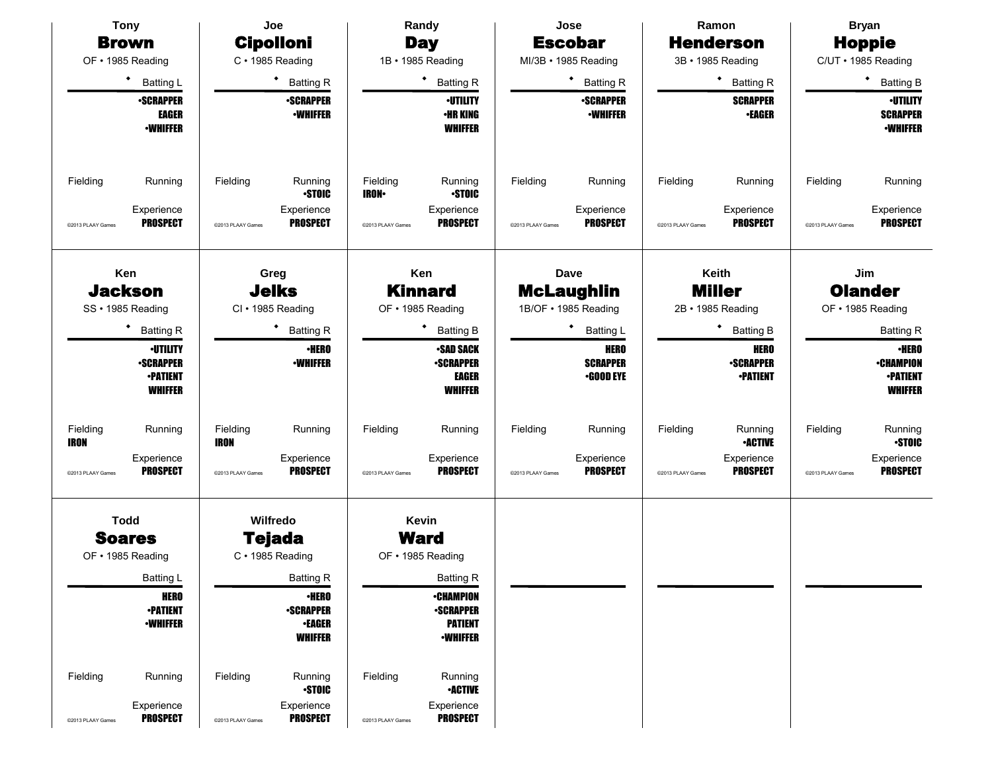|                               | <b>Tony</b>                                       |                               | Joe                                                      |                                               | Randy                                                    |                               | Jose                                     |                               | Ramon                                    |                               | <b>Bryan</b>                                          |
|-------------------------------|---------------------------------------------------|-------------------------------|----------------------------------------------------------|-----------------------------------------------|----------------------------------------------------------|-------------------------------|------------------------------------------|-------------------------------|------------------------------------------|-------------------------------|-------------------------------------------------------|
|                               | <b>Brown</b>                                      |                               | <b>Cipolloni</b>                                         |                                               | <b>Day</b>                                               |                               | <b>Escobar</b>                           |                               | <b>Henderson</b>                         |                               | <b>Hoppie</b>                                         |
|                               | OF • 1985 Reading                                 |                               | C · 1985 Reading                                         |                                               | 1B • 1985 Reading                                        |                               | MI/3B · 1985 Reading                     |                               | 3B · 1985 Reading                        |                               | C/UT • 1985 Reading                                   |
|                               | ٠<br><b>Batting L</b>                             |                               | <b>Batting R</b>                                         |                                               | ٠<br><b>Batting R</b>                                    |                               | <b>Batting R</b>                         |                               | ٠<br><b>Batting R</b>                    |                               | ٠<br><b>Batting B</b>                                 |
|                               | <b>•SCRAPPER</b><br>EAGER<br><b>•WHIFFER</b>      |                               | <b>•SCRAPPER</b><br><b>-WHIFFER</b>                      |                                               | <b>•UTILITY</b><br><b>•HR KING</b><br><b>WHIFFER</b>     |                               | <b>•SCRAPPER</b><br><b>-WHIFFER</b>      |                               | <b>SCRAPPER</b><br><b>•EAGER</b>         |                               | <b>·UTILITY</b><br><b>SCRAPPER</b><br><b>·WHIFFER</b> |
| Fielding<br>@2013 PLAAY Games | Running<br>Experience<br><b>PROSPECT</b>          | Fielding<br>@2013 PLAAY Games | Running<br><b>STOIC</b><br>Experience<br><b>PROSPECT</b> | Fielding<br><b>IRON-</b><br>@2013 PLAAY Games | Running<br><b>STOIC</b><br>Experience<br><b>PROSPECT</b> | Fielding<br>@2013 PLAAY Games | Running<br>Experience<br><b>PROSPECT</b> | Fielding<br>@2013 PLAAY Games | Running<br>Experience<br><b>PROSPECT</b> | Fielding<br>@2013 PLAAY Games | Running<br>Experience<br><b>PROSPECT</b>              |
|                               | Ken                                               |                               | Greg                                                     |                                               | Ken                                                      |                               | <b>Dave</b>                              |                               | Keith                                    |                               | Jim                                                   |
|                               | <b>Jackson</b>                                    | <b>Jelks</b>                  |                                                          |                                               | <b>Kinnard</b>                                           | <b>McLaughlin</b>             |                                          | <b>Miller</b>                 |                                          | <b>Olander</b>                |                                                       |
|                               | SS · 1985 Reading                                 |                               | CI · 1985 Reading                                        |                                               | OF • 1985 Reading                                        |                               | 1B/OF • 1985 Reading                     |                               | 2B · 1985 Reading                        |                               | OF • 1985 Reading                                     |
|                               | ٠<br><b>Batting R</b>                             |                               | <b>Batting R</b>                                         |                                               | ٠<br><b>Batting B</b>                                    |                               | Batting L                                |                               | ٠<br><b>Batting B</b>                    |                               | <b>Batting R</b>                                      |
|                               | <b>·UTILITY</b><br><b>-SCRAPPER</b>               |                               | <b>-HERO</b><br><b>-WHIFFER</b>                          |                                               | <b>-SAD SACK</b><br><b>-SCRAPPER</b>                     |                               | <b>HERO</b><br><b>SCRAPPER</b>           |                               | <b>HERO</b><br><b>-SCRAPPER</b>          |                               | <b>•HERO</b><br><b>-CHAMPION</b>                      |
|                               | <b>•PATIENT</b><br><b>WHIFFER</b>                 |                               |                                                          |                                               | EAGER<br><b>WHIFFER</b>                                  |                               | <b>•GOOD EYE</b>                         |                               | <b>-PATIENT</b>                          |                               | <b>•PATIENT</b><br><b>WHIFFER</b>                     |
| Fielding<br>IRON              | Running                                           | Fielding<br>IRON              | Running                                                  | Fielding                                      | Running                                                  | Fielding                      | Running                                  | Fielding                      | Running<br><b>-ACTIVE</b>                | Fielding                      | Running<br><b>STOIC</b>                               |
| @2013 PLAAY Games             | Experience<br><b>PROSPECT</b>                     | @2013 PLAAY Games             | Experience<br><b>PROSPECT</b>                            | @2013 PLAAY Games                             | Experience<br><b>PROSPECT</b>                            | @2013 PLAAY Games             | Experience<br><b>PROSPECT</b>            | @2013 PLAAY Games             | Experience<br><b>PROSPECT</b>            | @2013 PLAAY Games             | Experience<br><b>PROSPECT</b>                         |
|                               | <b>Todd</b>                                       |                               | Wilfredo                                                 |                                               | Kevin                                                    |                               |                                          |                               |                                          |                               |                                                       |
|                               | <b>Soares</b>                                     |                               | <b>Tejada</b>                                            |                                               | <b>Ward</b>                                              |                               |                                          |                               |                                          |                               |                                                       |
|                               | OF • 1985 Reading                                 |                               | $C \cdot 1985$ Reading                                   |                                               | OF • 1985 Reading                                        |                               |                                          |                               |                                          |                               |                                                       |
|                               | Batting L                                         |                               | <b>Batting R</b>                                         |                                               | <b>Batting R</b>                                         |                               |                                          |                               |                                          |                               |                                                       |
|                               | <b>HERO</b><br><b>•PATIENT</b><br><b>-WHIFFER</b> |                               | <b>•HERO</b><br><b>•SCRAPPER</b><br><b>·EAGER</b>        |                                               | <b>•CHAMPION</b><br><b>-SCRAPPER</b><br><b>PATIENT</b>   |                               |                                          |                               |                                          |                               |                                                       |
|                               |                                                   |                               | <b>WHIFFER</b>                                           |                                               | <b>-WHIFFER</b>                                          |                               |                                          |                               |                                          |                               |                                                       |
| Fielding                      | Running                                           | Fielding                      | Running<br><b>STOIC</b>                                  | Fielding                                      | Running<br><b>•ACTIVE</b>                                |                               |                                          |                               |                                          |                               |                                                       |
| @2013 PLAAY Games             | Experience<br><b>PROSPECT</b>                     | @2013 PLAAY Games             | Experience<br><b>PROSPECT</b>                            | @2013 PLAAY Games                             | Experience<br><b>PROSPECT</b>                            |                               |                                          |                               |                                          |                               |                                                       |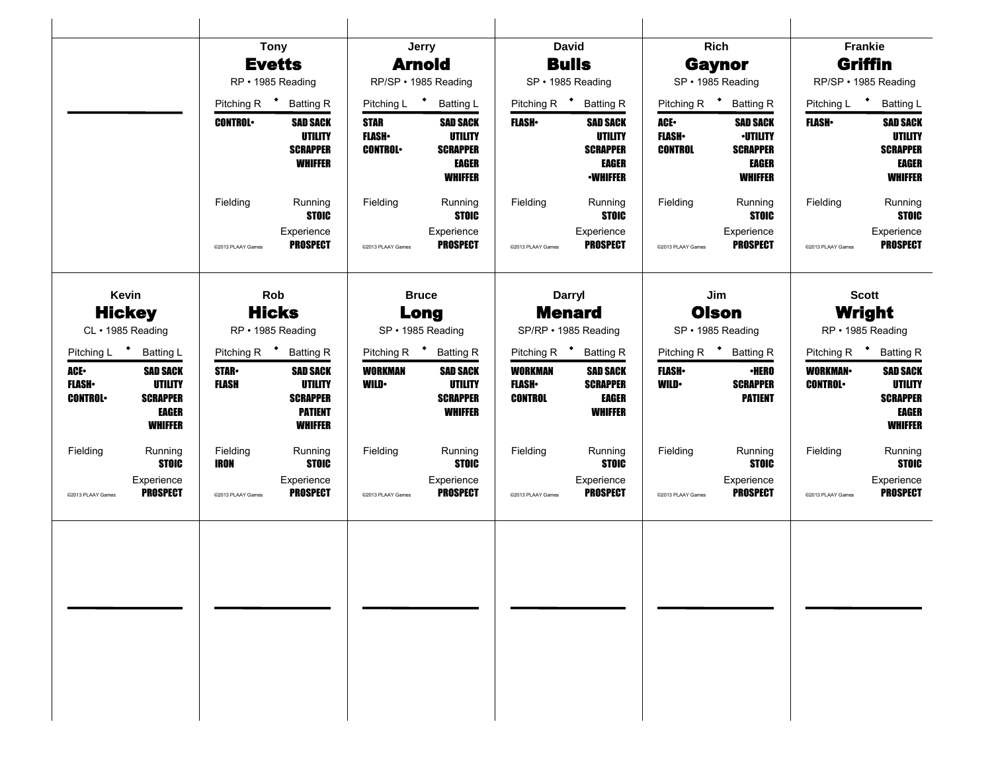| <b>Tony</b>                        |                                                              |                                                                  | Jerry                                                                  |                                               | <b>David</b>                                                                           |                                          | <b>Rich</b>                                                                      |                                          | <b>Frankie</b>                                                            |                                    |                                                                                 |
|------------------------------------|--------------------------------------------------------------|------------------------------------------------------------------|------------------------------------------------------------------------|-----------------------------------------------|----------------------------------------------------------------------------------------|------------------------------------------|----------------------------------------------------------------------------------|------------------------------------------|---------------------------------------------------------------------------|------------------------------------|---------------------------------------------------------------------------------|
|                                    | <b>Evetts</b>                                                |                                                                  | <b>Arnold</b>                                                          |                                               | <b>Bulls</b>                                                                           |                                          | <b>Gaynor</b>                                                                    |                                          | <b>Griffin</b>                                                            |                                    |                                                                                 |
|                                    |                                                              | RP • 1985 Reading<br>Pitching R <sup>+</sup><br><b>Batting R</b> |                                                                        | RP/SP · 1985 Reading                          |                                                                                        | SP · 1985 Reading                        |                                                                                  | SP · 1985 Reading                        |                                                                           | RP/SP · 1985 Reading               |                                                                                 |
|                                    |                                                              |                                                                  |                                                                        | Pitching L <sup>+</sup><br><b>Batting L</b>   |                                                                                        | Pitching R $\bullet$<br><b>Batting R</b> |                                                                                  | Pitching R $\bullet$<br><b>Batting R</b> |                                                                           | Pitching L <sup>+</sup>            | <b>Batting L</b>                                                                |
|                                    |                                                              | <b>CONTROL</b>                                                   | <b>SAD SACK</b><br><b>UTILITY</b><br><b>SCRAPPER</b><br><b>WHIFFER</b> | <b>STAR</b><br><b>FLASH</b><br><b>CONTROL</b> | <b>SAD SACK</b><br><b>UTILITY</b><br><b>SCRAPPER</b><br><b>EAGER</b><br><b>WHIFFER</b> | <b>FLASH</b> •                           | <b>SAD SACK</b><br>UTILITY<br><b>SCRAPPER</b><br><b>EAGER</b><br><b>•WHIFFER</b> | ACE.<br><b>FLASH</b><br><b>CONTROL</b>   | <b>SAD SACK</b><br><b>·UTILITY</b><br><b>SCRAPPER</b><br>EAGER<br>WHIFFER | <b>FLASH</b> •                     | <b>SAD SACK</b><br>UTILITY<br><b>SCRAPPER</b><br><b>EAGER</b><br><b>WHIFFER</b> |
|                                    |                                                              | Fielding                                                         | Running<br><b>STOIC</b>                                                | Fielding                                      | Running<br><b>STOIC</b>                                                                | Fielding                                 | Running<br><b>STOIC</b>                                                          | Fielding                                 | Running<br><b>STOIC</b>                                                   | Fielding                           | Running<br><b>STOIC</b>                                                         |
|                                    |                                                              | @2013 PLAAY Games                                                | Experience<br><b>PROSPECT</b>                                          | @2013 PLAAY Games                             | Experience<br><b>PROSPECT</b>                                                          | @2013 PLAAY Games                        | Experience<br><b>PROSPECT</b>                                                    | @2013 PLAAY Games                        | Experience<br>PROSPECT                                                    | @2013 PLAAY Games                  | Experience<br><b>PROSPECT</b>                                                   |
| Kevin                              |                                                              | Rob                                                              |                                                                        | <b>Bruce</b>                                  |                                                                                        | <b>Darryl</b>                            |                                                                                  | Jim                                      |                                                                           | <b>Scott</b>                       |                                                                                 |
| <b>Hickey</b><br>CL • 1985 Reading |                                                              | <b>Hicks</b><br>RP · 1985 Reading                                |                                                                        | Long<br>SP · 1985 Reading                     |                                                                                        | <b>Menard</b><br>SP/RP · 1985 Reading    |                                                                                  | <b>Olson</b><br>SP · 1985 Reading        |                                                                           | <b>Wright</b><br>RP · 1985 Reading |                                                                                 |
|                                    | Pitching L * Batting L                                       | Pitching R <sup>+</sup> Batting R                                |                                                                        | Pitching R <sup>+</sup> Batting R             |                                                                                        | Pitching R <sup>+</sup> Batting R        |                                                                                  | Pitching R <sup>+</sup> Batting R        |                                                                           | Pitching R <sup>+</sup> Batting R  |                                                                                 |
| ACE-                               | <b>SAD SACK</b>                                              | <b>STAR</b>                                                      | <b>SAD SACK</b>                                                        | WORKMAN                                       | <b>SAD SACK</b>                                                                        | WORKMAN                                  | <b>SAD SACK</b>                                                                  | <b>FLASH</b> •                           | <b>•HERO</b>                                                              | <b>WORKMAN</b>                     | <b>SAD SACK</b>                                                                 |
| <b>FLASH</b><br><b>CONTROL</b>     | <b>UTILITY</b><br><b>SCRAPPER</b><br><b>EAGER</b><br>WHIFFER | <b>FLASH</b>                                                     | <b>UTILITY</b><br><b>SCRAPPER</b><br><b>PATIENT</b><br><b>WHIFFER</b>  | <b>WILD</b>                                   | <b>UTILITY</b><br><b>SCRAPPER</b><br><b>WHIFFER</b>                                    | <b>FLASH</b><br><b>CONTROL</b>           | <b>SCRAPPER</b><br><b>EAGER</b><br><b>WHIFFER</b>                                | <b>WILD</b>                              | <b>SCRAPPER</b><br><b>PATIENT</b>                                         | <b>CONTROL</b>                     | <b>UTILITY</b><br><b>SCRAPPER</b><br>EAGER<br><b>WHIFFER</b>                    |
| Fielding                           | Running<br><b>STOIC</b>                                      | Fielding<br>IRON                                                 | Running<br><b>STOIC</b>                                                | Fielding                                      | Running<br><b>STOIC</b>                                                                | Fielding                                 | Running<br><b>STOIC</b>                                                          | Fielding                                 | Running<br><b>STOIC</b>                                                   | Fielding                           | Running<br><b>STOIC</b>                                                         |
| @2013 PLAAY Games                  | Experience<br><b>PROSPECT</b>                                | @2013 PLAAY Games                                                | Experience<br><b>PROSPECT</b>                                          | @2013 PLAAY Games                             | Experience<br><b>PROSPECT</b>                                                          | @2013 PLAAY Games                        | Experience<br>PROSPECT                                                           | @2013 PLAAY Games                        | Experience<br><b>PROSPECT</b>                                             | @2013 PLAAY Games                  | Experience<br><b>PROSPECT</b>                                                   |
|                                    |                                                              |                                                                  |                                                                        |                                               |                                                                                        |                                          |                                                                                  |                                          |                                                                           |                                    |                                                                                 |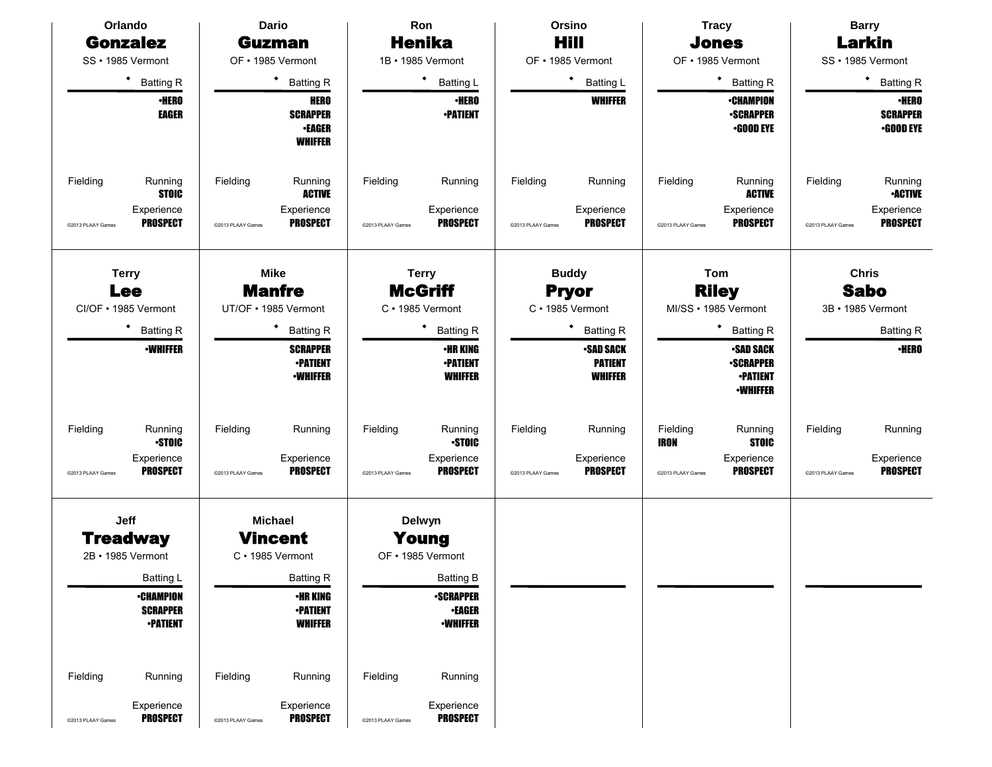| Orlando<br><b>Gonzalez</b>                               |                                                                                       | <b>Dario</b><br><b>Guzman</b>                        |                                                                                                                                            | Ron<br><b>Henika</b>                               |                                                                                                                                    | Orsino<br><b>Hill</b>                            |                                                                          |                                              | <b>Tracy</b>                                                                                        | <b>Barry</b><br><b>Larkin</b>                    |                                                            |  |
|----------------------------------------------------------|---------------------------------------------------------------------------------------|------------------------------------------------------|--------------------------------------------------------------------------------------------------------------------------------------------|----------------------------------------------------|------------------------------------------------------------------------------------------------------------------------------------|--------------------------------------------------|--------------------------------------------------------------------------|----------------------------------------------|-----------------------------------------------------------------------------------------------------|--------------------------------------------------|------------------------------------------------------------|--|
|                                                          |                                                                                       |                                                      |                                                                                                                                            |                                                    |                                                                                                                                    |                                                  |                                                                          | <b>Jones</b><br>OF • 1985 Vermont            |                                                                                                     |                                                  |                                                            |  |
| SS · 1985 Vermont                                        |                                                                                       | OF • 1985 Vermont                                    |                                                                                                                                            | 1B · 1985 Vermont                                  |                                                                                                                                    | OF • 1985 Vermont                                |                                                                          |                                              |                                                                                                     | SS · 1985 Vermont                                |                                                            |  |
| ٠<br><b>Batting R</b>                                    |                                                                                       |                                                      | $\bullet$<br><b>Batting R</b>                                                                                                              | ٠<br><b>Batting L</b>                              |                                                                                                                                    | ٠<br>Batting L                                   |                                                                          |                                              | $\bullet$<br><b>Batting R</b>                                                                       |                                                  | ٠<br><b>Batting R</b>                                      |  |
|                                                          | <b>•HERO</b><br><b>EAGER</b>                                                          |                                                      | <b>HERO</b><br><b>SCRAPPER</b><br><b>•EAGER</b><br><b>WHIFFER</b>                                                                          |                                                    | <b>•HERO</b><br><b>•PATIENT</b>                                                                                                    |                                                  | <b>WHIFFER</b>                                                           |                                              | <b>•CHAMPION</b><br><b>•SCRAPPER</b><br>$-$ GOOD EYE                                                |                                                  | <b>·HERO</b><br><b>SCRAPPER</b><br><b>.GOOD EYE</b>        |  |
| Fielding<br>@2013 PLAAY Games                            | Running<br><b>STOIC</b><br>Experience<br><b>PROSPECT</b>                              | Fielding<br>@2013 PLAAY Games                        | Running<br><b>ACTIVE</b><br>Experience<br><b>PROSPECT</b>                                                                                  | Fielding<br>@2013 PLAAY Games                      | Running<br>Experience<br><b>PROSPECT</b>                                                                                           | Fielding<br>@2013 PLAAY Games                    | Running<br>Experience<br><b>PROSPECT</b>                                 | Fielding<br>@2013 PLAAY Games                | Running<br><b>ACTIVE</b><br>Experience<br><b>PROSPECT</b>                                           | Fielding<br>@2013 PLAAY Games                    | Running<br><b>•ACTIVE</b><br>Experience<br><b>PROSPECT</b> |  |
| <b>Terry</b><br><b>Lee</b><br>CI/OF . 1985 Vermont       |                                                                                       | <b>Mike</b><br><b>Manfre</b><br>UT/OF • 1985 Vermont |                                                                                                                                            | <b>Terry</b><br><b>McGriff</b><br>C · 1985 Vermont |                                                                                                                                    | <b>Buddy</b><br><b>Pryor</b><br>C · 1985 Vermont |                                                                          | Tom<br><b>Riley</b><br>MI/SS · 1985 Vermont  |                                                                                                     | <b>Chris</b><br><b>Sabo</b><br>3B · 1985 Vermont |                                                            |  |
|                                                          | ٠<br><b>Batting R</b><br><b>-WHIFFER</b>                                              |                                                      | <b>Batting R</b><br><b>SCRAPPER</b><br><b>-PATIENT</b><br><b>-WHIFFER</b>                                                                  |                                                    | ٠<br><b>Batting R</b><br><b>•HR KING</b><br><b>•PATIENT</b><br><b>WHIFFER</b>                                                      |                                                  | <b>Batting R</b><br><b>-SAD SACK</b><br><b>PATIENT</b><br><b>WHIFFER</b> |                                              | ٠<br><b>Batting R</b><br><b>•SAD SACK</b><br><b>•SCRAPPER</b><br><b>-PATIENT</b><br><b>•WHIFFER</b> |                                                  | <b>Batting R</b><br><b>·HERO</b>                           |  |
| Fielding<br>@2013 PLAAY Games                            | Running<br><b>STOIC</b><br>Experience<br><b>PROSPECT</b>                              | Fielding<br>@2013 PLAAY Games                        | Running<br>Experience<br><b>PROSPECT</b>                                                                                                   | Fielding<br>@2013 PLAAY Games                      | Running<br><b>STOIC</b><br>Experience<br><b>PROSPECT</b>                                                                           | Fielding<br>@2013 PLAAY Games                    | Running<br>Experience<br><b>PROSPECT</b>                                 | Fielding<br><b>IRON</b><br>@2013 PLAAY Games | Running<br><b>STOIC</b><br>Experience<br><b>PROSPECT</b>                                            | Fielding<br>@2013 PLAAY Games                    | Running<br>Experience<br><b>PROSPECT</b>                   |  |
| Jeff<br><b>Treadway</b><br>2B · 1985 Vermont<br>Fielding | <b>Batting L</b><br><b>•CHAMPION</b><br><b>SCRAPPER</b><br><b>-PATIENT</b><br>Running | Fielding                                             | <b>Michael</b><br><b>Vincent</b><br>C · 1985 Vermont<br><b>Batting R</b><br><b>•HRKING</b><br><b>-PATIENT</b><br><b>WHIFFER</b><br>Running | Fielding                                           | Delwyn<br><b>Young</b><br>OF • 1985 Vermont<br><b>Batting B</b><br><b>-SCRAPPER</b><br><b>•EAGER</b><br><b>-WHIFFER</b><br>Running |                                                  |                                                                          |                                              |                                                                                                     |                                                  |                                                            |  |
| @2013 PLAAY Games                                        | Experience<br><b>PROSPECT</b>                                                         | @2013 PLAAY Games                                    | Experience<br><b>PROSPECT</b>                                                                                                              | @2013 PLAAY Games                                  | Experience<br><b>PROSPECT</b>                                                                                                      |                                                  |                                                                          |                                              |                                                                                                     |                                                  |                                                            |  |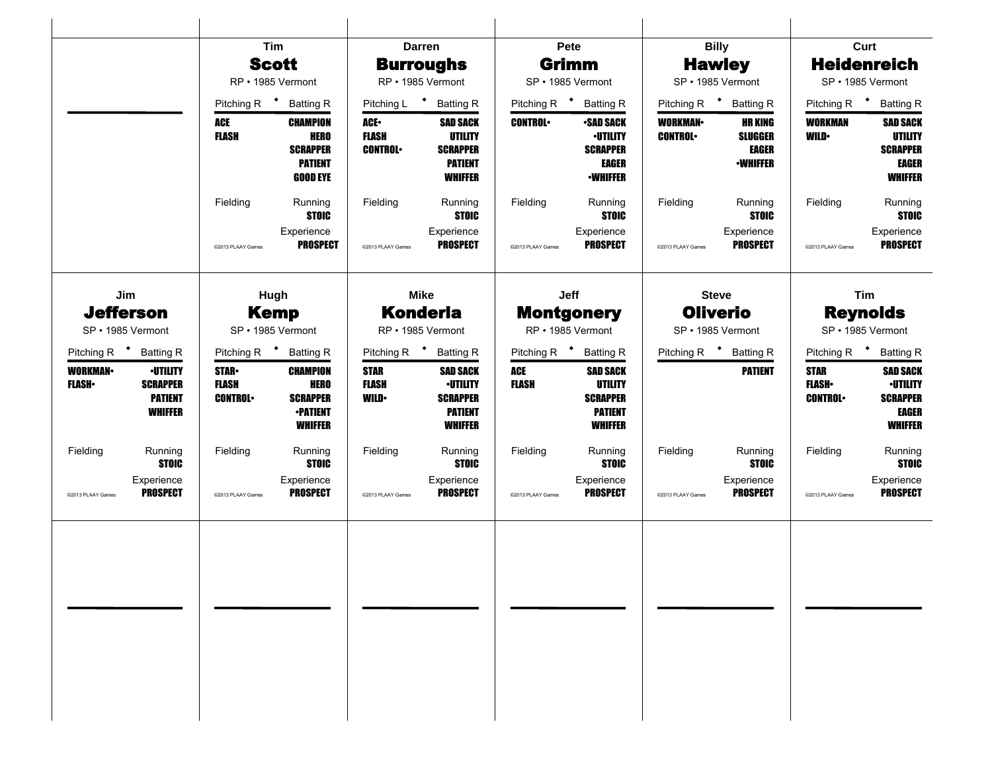| Tim                                                                                                         |                                                                                                                                   | <b>Darren</b>                                                                                                                             | Pete                                                                                                            | <b>Billy</b>                                                                              | Curt                                                                                                                                |  |
|-------------------------------------------------------------------------------------------------------------|-----------------------------------------------------------------------------------------------------------------------------------|-------------------------------------------------------------------------------------------------------------------------------------------|-----------------------------------------------------------------------------------------------------------------|-------------------------------------------------------------------------------------------|-------------------------------------------------------------------------------------------------------------------------------------|--|
| <b>Scott</b>                                                                                                |                                                                                                                                   | <b>Burroughs</b><br>RP • 1985 Vermont                                                                                                     | Grimm                                                                                                           | <b>Hawley</b>                                                                             | <b>Heidenreich</b>                                                                                                                  |  |
|                                                                                                             | RP · 1985 Vermont                                                                                                                 |                                                                                                                                           | SP · 1985 Vermont                                                                                               | SP · 1985 Vermont                                                                         | SP · 1985 Vermont                                                                                                                   |  |
|                                                                                                             | Pitching R <sup>+</sup> Batting R                                                                                                 | Pitching L <sup>+</sup> Batting R                                                                                                         | Pitching R <sup>+</sup> Batting R                                                                               | Pitching R <sup>+</sup> Batting R                                                         | Pitching R <sup>+</sup> Batting R                                                                                                   |  |
|                                                                                                             | ACE<br><b>CHAMPION</b><br><b>FLASH</b><br><b>HERO</b><br><b>SCRAPPER</b><br><b>PATIENT</b><br><b>GOOD EYE</b>                     | <b>ACE-</b><br><b>SAD SACK</b><br><b>UTILITY</b><br><b>FLASH</b><br><b>CONTROL</b><br><b>SCRAPPER</b><br><b>PATIENT</b><br><b>WHIFFER</b> | <b>CONTROL</b><br><b>-SAD SACK</b><br><b>·UTILITY</b><br><b>SCRAPPER</b><br><b>EAGER</b><br><b>-WHIFFER</b>     | <b>WORKMAN</b><br>HR KING<br><b>CONTROL</b><br><b>SLUGGER</b><br>EAGER<br><b>•WHIFFER</b> | <b>WORKMAN</b><br><b>SAD SACK</b><br><b>UTILITY</b><br><b>WILD</b><br><b>SCRAPPER</b><br>EAGER<br><b>WHIFFER</b>                    |  |
|                                                                                                             | Fielding<br>Running<br><b>STOIC</b>                                                                                               | Fielding<br>Running<br><b>STOIC</b>                                                                                                       | Running<br>Fielding<br><b>STOIC</b>                                                                             | Fielding<br>Running<br><b>STOIC</b>                                                       | Running<br>Fielding<br><b>STOIC</b>                                                                                                 |  |
|                                                                                                             | Experience<br><b>PROSPECT</b><br>@2013 PLAAY Games                                                                                | Experience<br><b>PROSPECT</b><br>@2013 PLAAY Games                                                                                        | Experience<br><b>PROSPECT</b><br>@2013 PLAAY Games                                                              | Experience<br><b>PROSPECT</b><br>@2013 PLAAY Games                                        | Experience<br><b>PROSPECT</b><br>@2013 PLAAY Games                                                                                  |  |
| Jim                                                                                                         | Hugh                                                                                                                              | <b>Mike</b>                                                                                                                               | <b>Jeff</b>                                                                                                     | <b>Steve</b>                                                                              | Tim                                                                                                                                 |  |
| <b>Jefferson</b><br>SP • 1985 Vermont                                                                       | <b>Kemp</b><br>SP · 1985 Vermont                                                                                                  | <b>Konderla</b><br>RP • 1985 Vermont                                                                                                      | <b>Montgonery</b><br>RP · 1985 Vermont                                                                          | <b>Oliverio</b><br>SP · 1985 Vermont                                                      | <b>Reynolds</b><br>SP · 1985 Vermont                                                                                                |  |
| Pitching R <sup>+</sup> Batting R                                                                           | Pitching R <sup>+</sup> Batting R                                                                                                 | Pitching R <sup>+</sup> Batting R                                                                                                         | Pitching R <sup>+</sup> Batting R                                                                               | Pitching R <sup>+</sup> Batting R                                                         | Pitching R <sup>+</sup> Batting R                                                                                                   |  |
| <b>WORKMAN-</b><br><b>·UTILITY</b><br><b>SCRAPPER</b><br><b>FLASH</b> •<br><b>PATIENT</b><br><b>WHIFFER</b> | <b>STAR-</b><br><b>CHAMPION</b><br>FLASH<br><b>HERO</b><br><b>CONTROL</b><br><b>SCRAPPER</b><br><b>•PATIENT</b><br><b>WHIFFER</b> | <b>SAD SACK</b><br><b>STAR</b><br><b>-UTILITY</b><br><b>FLASH</b><br><b>SCRAPPER</b><br><b>WILD</b><br><b>PATIENT</b><br><b>WHIFFER</b>   | ACE<br><b>SAD SACK</b><br><b>FLASH</b><br><b>UTILITY</b><br><b>SCRAPPER</b><br><b>PATIENT</b><br><b>WHIFFER</b> | <b>PATIENT</b>                                                                            | <b>SAD SACK</b><br><b>STAR</b><br><b>FLASH</b> •<br><b>·UTILITY</b><br><b>CONTROL</b><br><b>SCRAPPER</b><br>EAGER<br><b>WHIFFER</b> |  |
| Fielding<br>Running<br><b>STOIC</b>                                                                         | Fielding<br>Running<br><b>STOIC</b>                                                                                               | Fielding<br>Running<br><b>STOIC</b>                                                                                                       | Fielding<br>Running<br><b>STOIC</b>                                                                             | Fielding<br>Running<br><b>STOIC</b>                                                       | Running<br>Fielding<br><b>STOIC</b>                                                                                                 |  |
| Experience<br><b>PROSPECT</b><br>@2013 PLAAY Games                                                          | Experience<br><b>PROSPECT</b><br>@2013 PLAAY Games                                                                                | Experience<br><b>PROSPECT</b><br>@2013 PLAAY Games                                                                                        | Experience<br><b>PROSPECT</b><br>@2013 PLAAY Games                                                              | Experience<br><b>PROSPECT</b><br>@2013 PLAAY Games                                        | Experience<br><b>PROSPECT</b><br>@2013 PLAAY Games                                                                                  |  |
|                                                                                                             |                                                                                                                                   |                                                                                                                                           |                                                                                                                 |                                                                                           |                                                                                                                                     |  |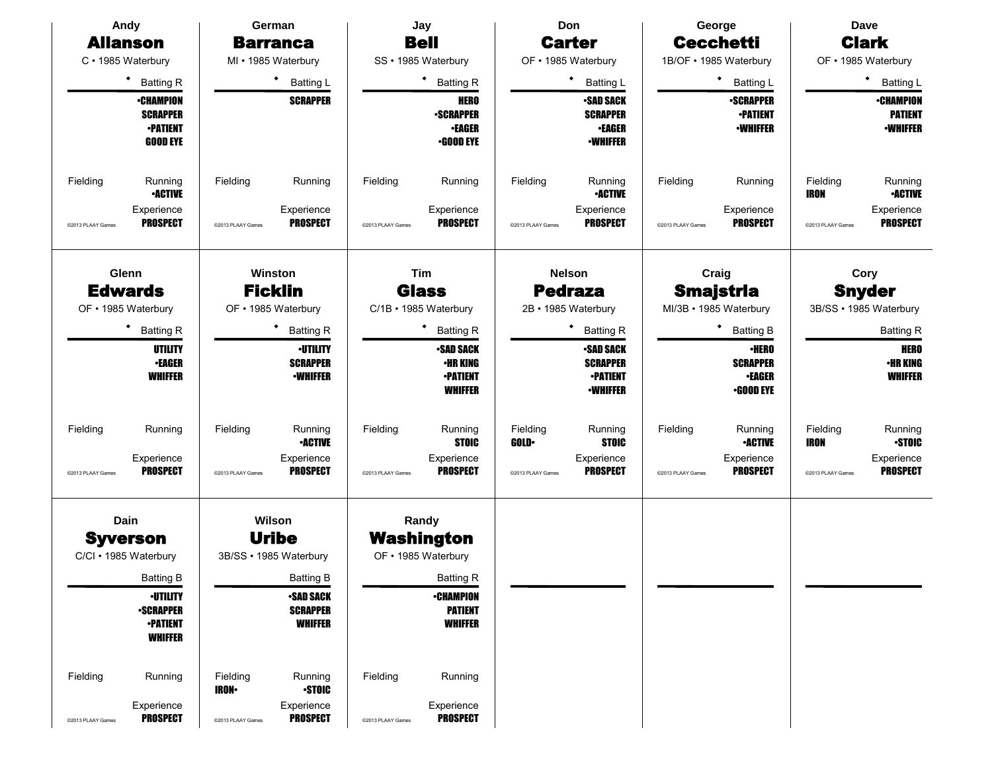| Andy                                           |                                                                           | German                                           |                                                            | Jay                                          |                                                                      | Don                                                    |                                                                           |                                                     | George                                                               | Dave                                            |                                                            |
|------------------------------------------------|---------------------------------------------------------------------------|--------------------------------------------------|------------------------------------------------------------|----------------------------------------------|----------------------------------------------------------------------|--------------------------------------------------------|---------------------------------------------------------------------------|-----------------------------------------------------|----------------------------------------------------------------------|-------------------------------------------------|------------------------------------------------------------|
| <b>Allanson</b>                                |                                                                           | <b>Barranca</b>                                  |                                                            | <b>Bell</b>                                  |                                                                      |                                                        | <b>Carter</b>                                                             | <b>Cecchetti</b>                                    |                                                                      | <b>Clark</b>                                    |                                                            |
| C · 1985 Waterbury                             |                                                                           | MI · 1985 Waterbury                              |                                                            | SS · 1985 Waterbury                          |                                                                      | OF • 1985 Waterbury                                    |                                                                           | 1B/OF • 1985 Waterbury                              |                                                                      |                                                 | OF • 1985 Waterbury                                        |
| ٠<br><b>Batting R</b>                          |                                                                           | <b>Batting L</b>                                 |                                                            | ٠<br><b>Batting R</b>                        |                                                                      | <b>Batting L</b>                                       |                                                                           | ٠<br><b>Batting L</b>                               |                                                                      | ٠<br><b>Batting L</b>                           |                                                            |
|                                                | <b>•CHAMPION</b><br><b>SCRAPPER</b><br><b>•PATIENT</b><br><b>GOOD EYE</b> |                                                  | <b>SCRAPPER</b>                                            |                                              | <b>HERO</b><br><b>-SCRAPPER</b><br><b>•EAGER</b><br><b>•GOOD EYE</b> |                                                        | <b>•SAD SACK</b><br><b>SCRAPPER</b><br><b>•EAGER</b><br><b>-WHIFFER</b>   |                                                     | <b>•SCRAPPER</b><br><b>•PATIENT</b><br><b>-WHIFFER</b>               |                                                 | <b>•CHAMPION</b><br><b>PATIENT</b><br><b>-WHIFFER</b>      |
| Fielding<br>@2013 PLAAY Games                  | Running<br><b>-ACTIVE</b><br>Experience<br><b>PROSPECT</b>                | Fielding<br>@2013 PLAAY Games                    | Running<br>Experience<br><b>PROSPECT</b>                   | Fielding<br>@2013 PLAAY Games                | Running<br>Experience<br><b>PROSPECT</b>                             | Fielding<br>@2013 PLAAY Games                          | Running<br><b>-ACTIVE</b><br>Experience<br><b>PROSPECT</b>                | Fielding<br>@2013 PLAAY Games                       | Running<br>Experience<br><b>PROSPECT</b>                             | Fielding<br>IRON<br>@2013 PLAAY Games           | Running<br><b>•ACTIVE</b><br>Experience<br><b>PROSPECT</b> |
| Glenn<br><b>Edwards</b><br>OF • 1985 Waterbury |                                                                           | Winston<br><b>Ficklin</b><br>OF • 1985 Waterbury |                                                            | Tim<br><b>Glass</b><br>C/1B · 1985 Waterbury |                                                                      | <b>Nelson</b><br><b>Pedraza</b><br>2B · 1985 Waterbury |                                                                           | Craig<br><b>Smajstria</b><br>MI/3B · 1985 Waterbury |                                                                      | Cory<br><b>Snyder</b><br>3B/SS · 1985 Waterbury |                                                            |
| ٠                                              | <b>Batting R</b>                                                          |                                                  | <b>Batting R</b>                                           |                                              | ٠<br><b>Batting R</b>                                                |                                                        | <b>Batting R</b>                                                          |                                                     | ٠<br><b>Batting B</b>                                                |                                                 | <b>Batting R</b>                                           |
|                                                | UTILITY<br><b>•EAGER</b><br><b>WHIFFER</b>                                |                                                  | <b>·UTILITY</b><br><b>SCRAPPER</b><br><b>-WHIFFER</b>      |                                              | <b>-SAD SACK</b><br><b>•HR KING</b><br><b>•PATIENT</b><br>WHIFFER    |                                                        | <b>-SAD SACK</b><br><b>SCRAPPER</b><br><b>•PATIENT</b><br><b>•WHIFFER</b> |                                                     | <b>•HERO</b><br><b>SCRAPPER</b><br><b>•EAGER</b><br><b>•GOOD EYE</b> |                                                 | <b>HERO</b><br><b>·HR KING</b><br><b>WHIFFER</b>           |
| Fielding<br>@2013 PLAAY Games                  | Running<br>Experience<br><b>PROSPECT</b>                                  | Fielding<br>@2013 PLAAY Games                    | Running<br><b>•ACTIVE</b><br>Experience<br><b>PROSPECT</b> | Fielding<br>@2013 PLAAY Games                | Running<br><b>STOIC</b><br>Experience<br><b>PROSPECT</b>             | Fielding<br><b>GOLD</b><br>@2013 PLAAY Games           | Running<br><b>STOIC</b><br>Experience<br><b>PROSPECT</b>                  | Fielding<br>@2013 PLAAY Games                       | Running<br><b>•ACTIVE</b><br>Experience<br><b>PROSPECT</b>           | Fielding<br>IRON<br>@2013 PLAAY Games           | Running<br><b>STOIC</b><br>Experience<br><b>PROSPECT</b>   |
|                                                |                                                                           |                                                  |                                                            |                                              |                                                                      |                                                        |                                                                           |                                                     |                                                                      |                                                 |                                                            |
| Dain                                           |                                                                           | Wilson                                           |                                                            | Randy                                        |                                                                      |                                                        |                                                                           |                                                     |                                                                      |                                                 |                                                            |
| <b>Syverson</b><br>C/CI · 1985 Waterbury       |                                                                           | <b>Uribe</b><br>3B/SS · 1985 Waterbury           |                                                            | <b>Washington</b><br>OF · 1985 Waterbury     |                                                                      |                                                        |                                                                           |                                                     |                                                                      |                                                 |                                                            |
|                                                | <b>Batting B</b>                                                          |                                                  | <b>Batting B</b>                                           |                                              | <b>Batting R</b>                                                     |                                                        |                                                                           |                                                     |                                                                      |                                                 |                                                            |
|                                                | <b>·UTILITY</b><br><b>-SCRAPPER</b><br><b>•PATIENT</b><br><b>WHIFFER</b>  |                                                  | <b>SAD SACK</b><br><b>SCRAPPER</b><br><b>WHIFFER</b>       |                                              | <b>-CHAMPION</b><br><b>PATIENT</b><br><b>WHIFFER</b>                 |                                                        |                                                                           |                                                     |                                                                      |                                                 |                                                            |
| Fielding<br>@2013 PLAAY Games                  | Running<br>Experience<br><b>PROSPECT</b>                                  | Fielding<br><b>IRON•</b><br>@2013 PLAAY Games    | Running<br><b>STOIC</b><br>Experience<br><b>PROSPECT</b>   | Fielding<br>@2013 PLAAY Games                | Running<br>Experience<br><b>PROSPECT</b>                             |                                                        |                                                                           |                                                     |                                                                      |                                                 |                                                            |